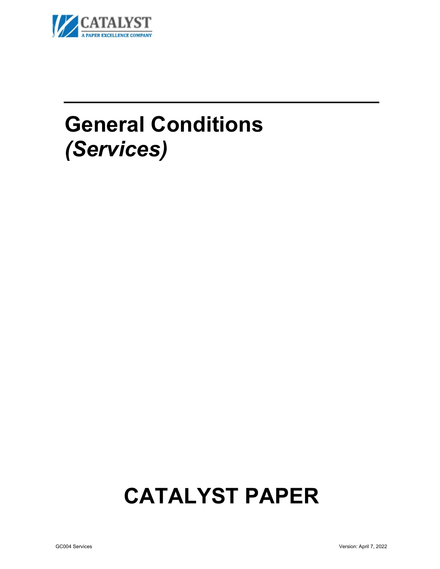

# **General Conditions** *(Services)*

# **CATALYST PAPER**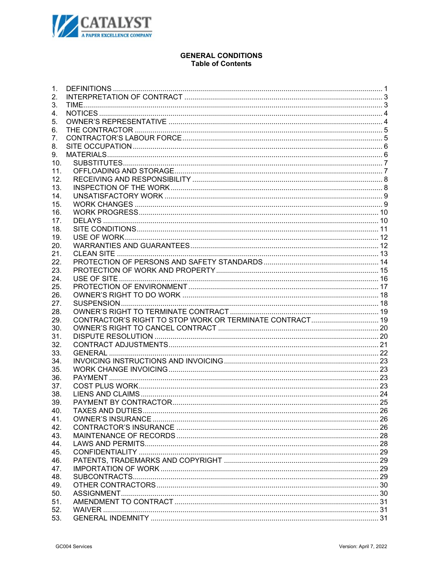

# **GENERAL CONDITIONS Table of Contents**

| 1.         |  |
|------------|--|
| 2.         |  |
| 3.         |  |
| 4.         |  |
| 5.         |  |
| 6.         |  |
| 7.         |  |
| 8.         |  |
| 9.         |  |
| 10.        |  |
| 11.        |  |
| 12.        |  |
| 13.        |  |
| 14.        |  |
| 15.        |  |
| 16.        |  |
| 17.        |  |
| 18.        |  |
| 19.        |  |
| 20.        |  |
| 21.        |  |
| 22.        |  |
| 23.        |  |
| 24.        |  |
| 25.        |  |
| 26.        |  |
| 27.        |  |
| 28.        |  |
| 29.        |  |
| 30.        |  |
| 31.        |  |
| 32.        |  |
| 33.        |  |
| 34.        |  |
| 35.        |  |
| 36.        |  |
| 37.        |  |
| 38.        |  |
| 39.        |  |
| 40.        |  |
| 41.        |  |
| 42.        |  |
| 43.        |  |
| 44.<br>45. |  |
|            |  |
| 46.<br>47. |  |
|            |  |
| 48.<br>49. |  |
| 50.        |  |
| 51.        |  |
| 52.        |  |
| 53.        |  |
|            |  |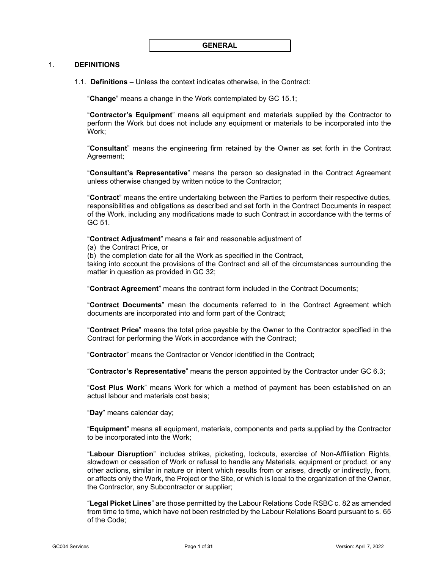#### <span id="page-2-1"></span><span id="page-2-0"></span>1. **DEFINITIONS**

1.1. **Definitions** – Unless the context indicates otherwise, in the Contract:

"**Change**" means a change in the Work contemplated by GC [15.1;](#page-10-2)

"**Contractor's Equipment**" means all equipment and materials supplied by the Contractor to perform the Work but does not include any equipment or materials to be incorporated into the Work;

"**Consultant**" means the engineering firm retained by the Owner as set forth in the Contract Agreement;

"**Consultant's Representative**" means the person so designated in the Contract Agreement unless otherwise changed by written notice to the Contractor;

"**Contract**" means the entire undertaking between the Parties to perform their respective duties, responsibilities and obligations as described and set forth in the Contract Documents in respect of the Work, including any modifications made to such Contract in accordance with the terms of GC [51.](#page-32-3)

"**Contract Adjustment**" means a fair and reasonable adjustment of

(a) the Contract Price, or

(b) the completion date for all the Work as specified in the Contract,

taking into account the provisions of the Contract and all of the circumstances surrounding the matter in question as provided in GC [32;](#page-22-1)

"**Contract Agreement**" means the contract form included in the Contract Documents;

"**Contract Documents**" mean the documents referred to in the Contract Agreement which documents are incorporated into and form part of the Contract;

"**Contract Price**" means the total price payable by the Owner to the Contractor specified in the Contract for performing the Work in accordance with the Contract;

"**Contractor**" means the Contractor or Vendor identified in the Contract;

"**Contractor's Representative**" means the person appointed by the Contractor under GC [6.3;](#page-6-2)

"**Cost Plus Work**" means Work for which a method of payment has been established on an actual labour and materials cost basis;

"**Day**" means calendar day;

"**Equipment**" means all equipment, materials, components and parts supplied by the Contractor to be incorporated into the Work;

"**Labour Disruption**" includes strikes, picketing, lockouts, exercise of Non-Affiliation Rights, slowdown or cessation of Work or refusal to handle any Materials, equipment or product, or any other actions, similar in nature or intent which results from or arises, directly or indirectly, from, or affects only the Work, the Project or the Site, or which is local to the organization of the Owner, the Contractor, any Subcontractor or supplier;

"**Legal Picket Lines**" are those permitted by the Labour Relations Code RSBC c. 82 as amended from time to time, which have not been restricted by the Labour Relations Board pursuant to s. 65 of the Code;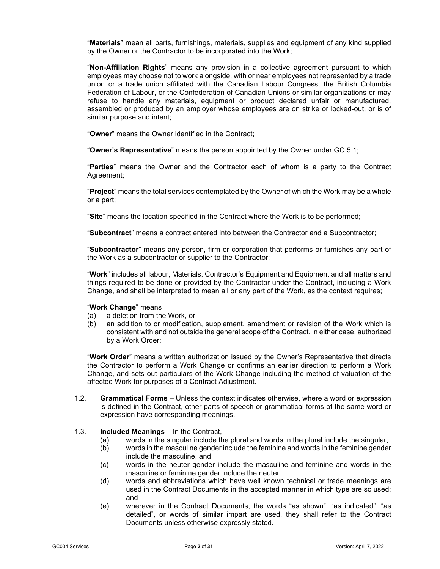"**Materials**" mean all parts, furnishings, materials, supplies and equipment of any kind supplied by the Owner or the Contractor to be incorporated into the Work;

"**Non-Affiliation Rights**" means any provision in a collective agreement pursuant to which employees may choose not to work alongside, with or near employees not represented by a trade union or a trade union affiliated with the Canadian Labour Congress, the British Columbia Federation of Labour, or the Confederation of Canadian Unions or similar organizations or may refuse to handle any materials, equipment or product declared unfair or manufactured, assembled or produced by an employer whose employees are on strike or locked-out, or is of similar purpose and intent;

"**Owner**" means the Owner identified in the Contract;

"**Owner's Representative**" means the person appointed by the Owner under GC [5.1;](#page-5-2)

"**Parties**" means the Owner and the Contractor each of whom is a party to the Contract Agreement;

"**Project**" means the total services contemplated by the Owner of which the Work may be a whole or a part;

"**Site**" means the location specified in the Contract where the Work is to be performed;

"**Subcontract**" means a contract entered into between the Contractor and a Subcontractor;

"**Subcontractor**" means any person, firm or corporation that performs or furnishes any part of the Work as a subcontractor or supplier to the Contractor;

"**Work**" includes all labour, Materials, Contractor's Equipment and Equipment and all matters and things required to be done or provided by the Contractor under the Contract, including a Work Change, and shall be interpreted to mean all or any part of the Work, as the context requires;

# "**Work Change**" means

- a deletion from the Work, or
- (b) an addition to or modification, supplement, amendment or revision of the Work which is consistent with and not outside the general scope of the Contract, in either case, authorized by a Work Order;

"**Work Order**" means a written authorization issued by the Owner's Representative that directs the Contractor to perform a Work Change or confirms an earlier direction to perform a Work Change, and sets out particulars of the Work Change including the method of valuation of the affected Work for purposes of a Contract Adjustment.

1.2. **Grammatical Forms** – Unless the context indicates otherwise, where a word or expression is defined in the Contract, other parts of speech or grammatical forms of the same word or expression have corresponding meanings.

#### 1.3. **Included Meanings** – In the Contract,

- (a) words in the singular include the plural and words in the plural include the singular,
- (b) words in the masculine gender include the feminine and words in the feminine gender include the masculine, and
- (c) words in the neuter gender include the masculine and feminine and words in the masculine or feminine gender include the neuter.
- (d) words and abbreviations which have well known technical or trade meanings are used in the Contract Documents in the accepted manner in which type are so used; and
- (e) wherever in the Contract Documents, the words "as shown", "as indicated", "as detailed", or words of similar impart are used, they shall refer to the Contract Documents unless otherwise expressly stated.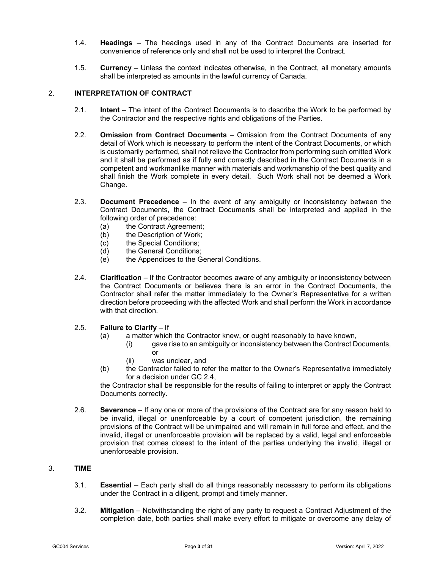- 1.4. **Headings** The headings used in any of the Contract Documents are inserted for convenience of reference only and shall not be used to interpret the Contract.
- 1.5. **Currency** Unless the context indicates otherwise, in the Contract, all monetary amounts shall be interpreted as amounts in the lawful currency of Canada.

# <span id="page-4-0"></span>2. **INTERPRETATION OF CONTRACT**

- 2.1. **Intent** The intent of the Contract Documents is to describe the Work to be performed by the Contractor and the respective rights and obligations of the Parties.
- 2.2. **Omission from Contract Documents**  Omission from the Contract Documents of any detail of Work which is necessary to perform the intent of the Contract Documents, or which is customarily performed, shall not relieve the Contractor from performing such omitted Work and it shall be performed as if fully and correctly described in the Contract Documents in a competent and workmanlike manner with materials and workmanship of the best quality and shall finish the Work complete in every detail. Such Work shall not be deemed a Work Change.
- 2.3. **Document Precedence** In the event of any ambiguity or inconsistency between the Contract Documents, the Contract Documents shall be interpreted and applied in the following order of precedence:
	- (a) the Contract Agreement;<br>(b) the Description of Work;
	- the Description of Work;
	-
	- (c) the Special Conditions;<br>(d) the General Conditions; the General Conditions;
	- (e) the Appendices to the General Conditions.
- <span id="page-4-2"></span>2.4. **Clarification** – If the Contractor becomes aware of any ambiguity or inconsistency between the Contract Documents or believes there is an error in the Contract Documents, the Contractor shall refer the matter immediately to the Owner's Representative for a written direction before proceeding with the affected Work and shall perform the Work in accordance with that direction.

#### 2.5. **Failure to Clarify** – If

- (a) a matter which the Contractor knew, or ought reasonably to have known,
	- (i) gave rise to an ambiguity or inconsistency between the Contract Documents, or
	- (ii) was unclear, and
- (b) the Contractor failed to refer the matter to the Owner's Representative immediately for a decision under GC [2.4,](#page-4-2)

the Contractor shall be responsible for the results of failing to interpret or apply the Contract Documents correctly.

2.6. **Severance** – If any one or more of the provisions of the Contract are for any reason held to be invalid, illegal or unenforceable by a court of competent jurisdiction, the remaining provisions of the Contract will be unimpaired and will remain in full force and effect, and the invalid, illegal or unenforceable provision will be replaced by a valid, legal and enforceable provision that comes closest to the intent of the parties underlying the invalid, illegal or unenforceable provision.

#### <span id="page-4-1"></span>3. **TIME**

- 3.1. **Essential** Each party shall do all things reasonably necessary to perform its obligations under the Contract in a diligent, prompt and timely manner.
- 3.2. **Mitigation** Notwithstanding the right of any party to request a Contract Adjustment of the completion date, both parties shall make every effort to mitigate or overcome any delay of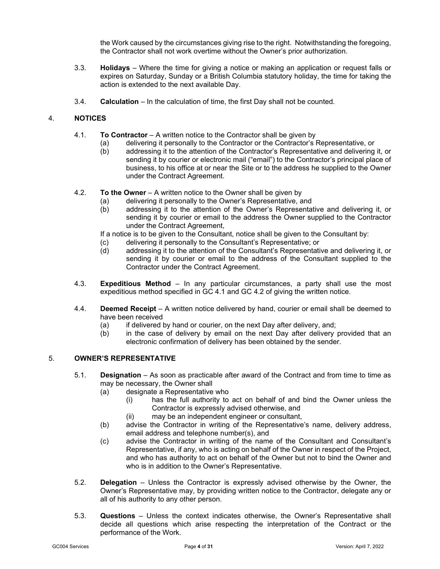the Work caused by the circumstances giving rise to the right. Notwithstanding the foregoing, the Contractor shall not work overtime without the Owner's prior authorization.

- 3.3. **Holidays** Where the time for giving a notice or making an application or request falls or expires on Saturday, Sunday or a British Columbia statutory holiday, the time for taking the action is extended to the next available Day.
- 3.4. **Calculation** In the calculation of time, the first Day shall not be counted.

# <span id="page-5-3"></span><span id="page-5-0"></span>4. **NOTICES**

- 4.1. **To Contractor** A written notice to the Contractor shall be given by
	- delivering it personally to the Contractor or the Contractor's Representative, or
	- (b) addressing it to the attention of the Contractor's Representative and delivering it, or sending it by courier or electronic mail ("email") to the Contractor's principal place of business, to his office at or near the Site or to the address he supplied to the Owner under the Contract Agreement.
- <span id="page-5-4"></span>4.2. **To the Owner** – A written notice to the Owner shall be given by
	- (a) delivering it personally to the Owner's Representative, and
	- (b) addressing it to the attention of the Owner's Representative and delivering it, or sending it by courier or email to the address the Owner supplied to the Contractor under the Contract Agreement,
	- If a notice is to be given to the Consultant, notice shall be given to the Consultant by:
	- (c) delivering it personally to the Consultant's Representative; or (d) addressing it to the attention of the Consultant's Representati
	- addressing it to the attention of the Consultant's Representative and delivering it, or sending it by courier or email to the address of the Consultant supplied to the Contractor under the Contract Agreement.
- 4.3. **Expeditious Method** In any particular circumstances, a party shall use the most expeditious method specified in GC [4.1](#page-5-3) and GC [4.2](#page-5-4) of giving the written notice.
- 4.4. **Deemed Receipt** A written notice delivered by hand, courier or email shall be deemed to have been received
	- (a) if delivered by hand or courier, on the next Day after delivery, and;
	- (b) in the case of delivery by email on the next Day after delivery provided that an electronic confirmation of delivery has been obtained by the sender.

### <span id="page-5-2"></span><span id="page-5-1"></span>5. **OWNER'S REPRESENTATIVE**

- 5.1. **Designation** As soon as practicable after award of the Contract and from time to time as may be necessary, the Owner shall
	- (a) designate a Representative who
		- (i) has the full authority to act on behalf of and bind the Owner unless the Contractor is expressly advised otherwise, and
		- (ii) may be an independent engineer or consultant,
	- (b) advise the Contractor in writing of the Representative's name, delivery address, email address and telephone number(s), and
	- (c) advise the Contractor in writing of the name of the Consultant and Consultant's Representative, if any, who is acting on behalf of the Owner in respect of the Project, and who has authority to act on behalf of the Owner but not to bind the Owner and who is in addition to the Owner's Representative.
- 5.2. **Delegation** Unless the Contractor is expressly advised otherwise by the Owner, the Owner's Representative may, by providing written notice to the Contractor, delegate any or all of his authority to any other person.
- 5.3. **Questions** Unless the context indicates otherwise, the Owner's Representative shall decide all questions which arise respecting the interpretation of the Contract or the performance of the Work.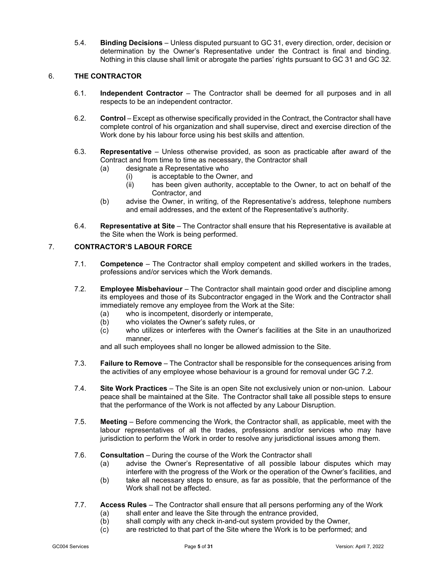5.4. **Binding Decisions** – Unless disputed pursuant to GC [31,](#page-21-2) every direction, order, decision or determination by the Owner's Representative under the Contract is final and binding. Nothing in this clause shall limit or abrogate the parties' rights pursuant to GC [31](#page-21-2) and G[C 32.](#page-22-1)

# <span id="page-6-0"></span>6. **THE CONTRACTOR**

- 6.1. **Independent Contractor** The Contractor shall be deemed for all purposes and in all respects to be an independent contractor.
- 6.2. **Control** Except as otherwise specifically provided in the Contract, the Contractor shall have complete control of his organization and shall supervise, direct and exercise direction of the Work done by his labour force using his best skills and attention.
- <span id="page-6-2"></span>6.3. **Representative** – Unless otherwise provided, as soon as practicable after award of the Contract and from time to time as necessary, the Contractor shall
	- (a) designate a Representative who
		- (i) is acceptable to the Owner, and<br>(ii) has been given authority, accep
		- has been given authority, acceptable to the Owner, to act on behalf of the Contractor, and
	- (b) advise the Owner, in writing, of the Representative's address, telephone numbers and email addresses, and the extent of the Representative's authority.
- 6.4. **Representative at Site**  The Contractor shall ensure that his Representative is available at the Site when the Work is being performed.

# <span id="page-6-1"></span>7. **CONTRACTOR'S LABOUR FORCE**

- 7.1. **Competence** The Contractor shall employ competent and skilled workers in the trades, professions and/or services which the Work demands.
- <span id="page-6-3"></span>7.2. **Employee Misbehaviour** – The Contractor shall maintain good order and discipline among its employees and those of its Subcontractor engaged in the Work and the Contractor shall immediately remove any employee from the Work at the Site:
	- (a) who is incompetent, disorderly or intemperate,<br>(b) who violates the Owner's safety rules, or
	- who violates the Owner's safety rules, or
	- (c) who utilizes or interferes with the Owner's facilities at the Site in an unauthorized manner,

and all such employees shall no longer be allowed admission to the Site.

- 7.3. **Failure to Remove** The Contractor shall be responsible for the consequences arising from the activities of any employee whose behaviour is a ground for removal under GC [7.2.](#page-6-3)
- 7.4. **Site Work Practices** The Site is an open Site not exclusively union or non-union. Labour peace shall be maintained at the Site. The Contractor shall take all possible steps to ensure that the performance of the Work is not affected by any Labour Disruption.
- 7.5. **Meeting** Before commencing the Work, the Contractor shall, as applicable, meet with the labour representatives of all the trades, professions and/or services who may have jurisdiction to perform the Work in order to resolve any jurisdictional issues among them.
- 7.6. **Consultation** During the course of the Work the Contractor shall
	- (a) advise the Owner's Representative of all possible labour disputes which may interfere with the progress of the Work or the operation of the Owner's facilities, and
	- (b) take all necessary steps to ensure, as far as possible, that the performance of the Work shall not be affected.
- 7.7. **Access Rules** The Contractor shall ensure that all persons performing any of the Work
	- (a) shall enter and leave the Site through the entrance provided,
	- (b) shall comply with any check in-and-out system provided by the Owner,
	- (c) are restricted to that part of the Site where the Work is to be performed; and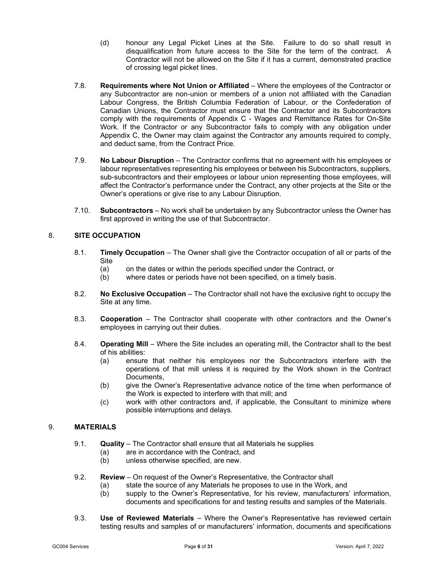- (d) honour any Legal Picket Lines at the Site. Failure to do so shall result in disqualification from future access to the Site for the term of the contract. A Contractor will not be allowed on the Site if it has a current, demonstrated practice of crossing legal picket lines.
- 7.8. **Requirements where Not Union or Affiliated**  Where the employees of the Contractor or any Subcontractor are non-union or members of a union not affiliated with the Canadian Labour Congress, the British Columbia Federation of Labour, or the Confederation of Canadian Unions, the Contractor must ensure that the Contractor and its Subcontractors comply with the requirements of Appendix C - Wages and Remittance Rates for On-Site Work. If the Contractor or any Subcontractor fails to comply with any obligation under Appendix C, the Owner may claim against the Contractor any amounts required to comply, and deduct same, from the Contract Price.
- 7.9. **No Labour Disruption** The Contractor confirms that no agreement with his employees or labour representatives representing his employees or between his Subcontractors, suppliers, sub-subcontractors and their employees or labour union representing those employees, will affect the Contractor's performance under the Contract, any other projects at the Site or the Owner's operations or give rise to any Labour Disruption.
- 7.10. **Subcontractors** No work shall be undertaken by any Subcontractor unless the Owner has first approved in writing the use of that Subcontractor.

# <span id="page-7-0"></span>8. **SITE OCCUPATION**

- 8.1. **Timely Occupation** The Owner shall give the Contractor occupation of all or parts of the Site<br>(a)
	- on the dates or within the periods specified under the Contract, or
	- (b) where dates or periods have not been specified, on a timely basis.
- 8.2. **No Exclusive Occupation** The Contractor shall not have the exclusive right to occupy the Site at any time.
- 8.3. **Cooperation** The Contractor shall cooperate with other contractors and the Owner's employees in carrying out their duties.
- 8.4. **Operating Mill** Where the Site includes an operating mill, the Contractor shall to the best of his abilities:
	- (a) ensure that neither his employees nor the Subcontractors interfere with the operations of that mill unless it is required by the Work shown in the Contract Documents,
	- (b) give the Owner's Representative advance notice of the time when performance of the Work is expected to interfere with that mill; and
	- (c) work with other contractors and, if applicable, the Consultant to minimize where possible interruptions and delays.

# <span id="page-7-1"></span>9. **MATERIALS**

- 9.1. **Quality**  The Contractor shall ensure that all Materials he supplies
	- (a) are in accordance with the Contract, and
	- (b) unless otherwise specified, are new.
- <span id="page-7-2"></span>9.2. **Review** – On request of the Owner's Representative, the Contractor shall
	- (a) state the source of any Materials he proposes to use in the Work, and (b) supply to the Owner's Representative, for his review, manufacturers
	- supply to the Owner's Representative, for his review, manufacturers' information, documents and specifications for and testing results and samples of the Materials.
- <span id="page-7-3"></span>9.3. **Use of Reviewed Materials** – Where the Owner's Representative has reviewed certain testing results and samples of or manufacturers' information, documents and specifications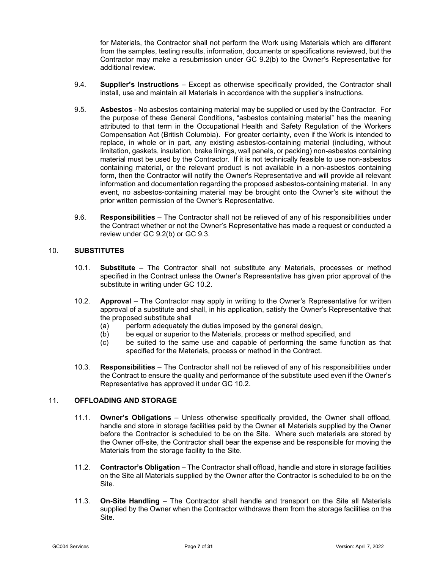for Materials, the Contractor shall not perform the Work using Materials which are different from the samples, testing results, information, documents or specifications reviewed, but the Contractor may make a resubmission under GC [9.2\(b\)](#page-7-2) to the Owner's Representative for additional review.

- 9.4. **Supplier's Instructions** Except as otherwise specifically provided, the Contractor shall install, use and maintain all Materials in accordance with the supplier's instructions.
- 9.5. **Asbestos** No asbestos containing material may be supplied or used by the Contractor. For the purpose of these General Conditions, "asbestos containing material" has the meaning attributed to that term in the Occupational Health and Safety Regulation of the Workers Compensation Act (British Columbia). For greater certainty, even if the Work is intended to replace, in whole or in part, any existing asbestos-containing material (including, without limitation, gaskets, insulation, brake linings, wall panels, or packing) non-asbestos containing material must be used by the Contractor. If it is not technically feasible to use non-asbestos containing material, or the relevant product is not available in a non-asbestos containing form, then the Contractor will notify the Owner's Representative and will provide all relevant information and documentation regarding the proposed asbestos-containing material. In any event, no asbestos-containing material may be brought onto the Owner's site without the prior written permission of the Owner's Representative.
- 9.6. **Responsibilities** The Contractor shall not be relieved of any of his responsibilities under the Contract whether or not the Owner's Representative has made a request or conducted a review under GC [9.2\(b\)](#page-7-2) or GC [9.3.](#page-7-3)

### <span id="page-8-0"></span>10. **SUBSTITUTES**

- 10.1. **Substitute** The Contractor shall not substitute any Materials, processes or method specified in the Contract unless the Owner's Representative has given prior approval of the substitute in writing under GC [10.2.](#page-8-2)
- <span id="page-8-2"></span>10.2. **Approval** – The Contractor may apply in writing to the Owner's Representative for written approval of a substitute and shall, in his application, satisfy the Owner's Representative that the proposed substitute shall
	- (a) perform adequately the duties imposed by the general design,
	- (b) be equal or superior to the Materials, process or method specified, and
	- (c) be suited to the same use and capable of performing the same function as that specified for the Materials, process or method in the Contract.
- 10.3. **Responsibilities** The Contractor shall not be relieved of any of his responsibilities under the Contract to ensure the quality and performance of the substitute used even if the Owner's Representative has approved it under GC [10.2.](#page-8-2)

# <span id="page-8-3"></span><span id="page-8-1"></span>11. **OFFLOADING AND STORAGE**

- 11.1. **Owner's Obligations** Unless otherwise specifically provided, the Owner shall offload, handle and store in storage facilities paid by the Owner all Materials supplied by the Owner before the Contractor is scheduled to be on the Site. Where such materials are stored by the Owner off-site, the Contractor shall bear the expense and be responsible for moving the Materials from the storage facility to the Site.
- <span id="page-8-4"></span>11.2. **Contractor's Obligation** – The Contractor shall offload, handle and store in storage facilities on the Site all Materials supplied by the Owner after the Contractor is scheduled to be on the Site.
- <span id="page-8-5"></span>11.3. **On-Site Handling** – The Contractor shall handle and transport on the Site all Materials supplied by the Owner when the Contractor withdraws them from the storage facilities on the Site.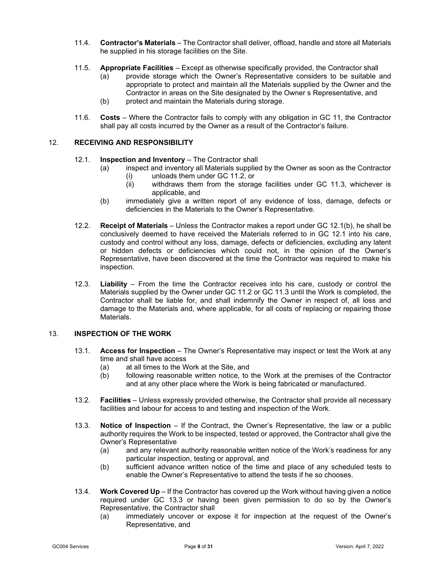- 11.4. **Contractor's Materials** The Contractor shall deliver, offload, handle and store all Materials he supplied in his storage facilities on the Site.
- 11.5. **Appropriate Facilities**  Except as otherwise specifically provided, the Contractor shall
	- (a) provide storage which the Owner's Representative considers to be suitable and appropriate to protect and maintain all the Materials supplied by the Owner and the Contractor in areas on the Site designated by the Owner s Representative, and
	- (b) protect and maintain the Materials during storage.
- 11.6. **Costs** Where the Contractor fails to comply with any obligation in GC [11,](#page-8-3) the Contractor shall pay all costs incurred by the Owner as a result of the Contractor's failure.

## <span id="page-9-3"></span><span id="page-9-0"></span>12. **RECEIVING AND RESPONSIBILITY**

- 12.1. **Inspection and Inventory**  The Contractor shall
	- inspect and inventory all Materials supplied by the Owner as soon as the Contractor
		- (i) unloads them under GC [11.2,](#page-8-4) or<br>(ii) withdraws them from the storac withdraws them from the storage facilities under GC [11.3,](#page-8-5) whichever is applicable, and
	- (b) immediately give a written report of any evidence of loss, damage, defects or deficiencies in the Materials to the Owner's Representative.
- <span id="page-9-2"></span>12.2. **Receipt of Materials** – Unless the Contractor makes a report under GC [12.1\(b\),](#page-9-2) he shall be conclusively deemed to have received the Materials referred to in GC [12.1](#page-9-3) into his care, custody and control without any loss, damage, defects or deficiencies, excluding any latent or hidden defects or deficiencies which could not, in the opinion of the Owner's Representative, have been discovered at the time the Contractor was required to make his inspection.
- 12.3. **Liability** From the time the Contractor receives into his care, custody or control the Materials supplied by the Owner under GC [11.2](#page-8-4) or GC [11.3](#page-8-5) until the Work is completed, the Contractor shall be liable for, and shall indemnify the Owner in respect of, all loss and damage to the Materials and, where applicable, for all costs of replacing or repairing those Materials.

#### <span id="page-9-1"></span>13. **INSPECTION OF THE WORK**

- 13.1. **Access for Inspection**  The Owner's Representative may inspect or test the Work at any time and shall have access
	- (a) at all times to the Work at the Site, and
	- (b) following reasonable written notice, to the Work at the premises of the Contractor and at any other place where the Work is being fabricated or manufactured.
- 13.2. **Facilities**  Unless expressly provided otherwise, the Contractor shall provide all necessary facilities and labour for access to and testing and inspection of the Work.
- <span id="page-9-4"></span>13.3. **Notice of Inspection** – If the Contract, the Owner's Representative, the law or a public authority requires the Work to be inspected, tested or approved, the Contractor shall give the Owner's Representative
	- (a) and any relevant authority reasonable written notice of the Work's readiness for any particular inspection, testing or approval, and
	- (b) sufficient advance written notice of the time and place of any scheduled tests to enable the Owner's Representative to attend the tests if he so chooses.
- 13.4. **Work Covered Up** If the Contractor has covered up the Work without having given a notice required under GC [13.3](#page-9-4) or having been given permission to do so by the Owner's Representative, the Contractor shall<br>(a) immediately uncover or exp
	- immediately uncover or expose it for inspection at the request of the Owner's Representative, and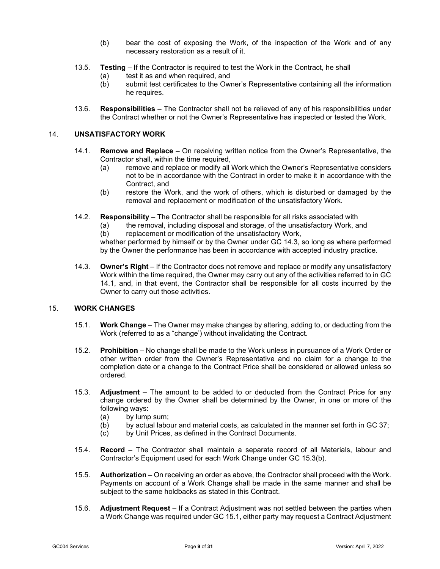- (b) bear the cost of exposing the Work, of the inspection of the Work and of any necessary restoration as a result of it.
- 13.5. **Testing** If the Contractor is required to test the Work in the Contract, he shall
	- (a) test it as and when required, and<br>(b) submit test certificates to the Ow
	- submit test certificates to the Owner's Representative containing all the information he requires.
- 13.6. **Responsibilities** The Contractor shall not be relieved of any of his responsibilities under the Contract whether or not the Owner's Representative has inspected or tested the Work.

#### <span id="page-10-4"></span><span id="page-10-0"></span>14. **UNSATISFACTORY WORK**

- 14.1. **Remove and Replace**  On receiving written notice from the Owner's Representative, the
	- Contractor shall, within the time required,<br>(a) remove and replace or modify all remove and replace or modify all Work which the Owner's Representative considers not to be in accordance with the Contract in order to make it in accordance with the Contract, and
	- (b) restore the Work, and the work of others, which is disturbed or damaged by the removal and replacement or modification of the unsatisfactory Work.
- 14.2. **Responsibility**  The Contractor shall be responsible for all risks associated with
	- (a) the removal, including disposal and storage, of the unsatisfactory Work, and  $(b)$  replacement or modification of the unsatisfactory Work.
	- replacement or modification of the unsatisfactory Work,

whether performed by himself or by the Owner under GC [14.3,](#page-10-3) so long as where performed by the Owner the performance has been in accordance with accepted industry practice.

<span id="page-10-3"></span>14.3. **Owner's Right** – If the Contractor does not remove and replace or modify any unsatisfactory Work within the time required, the Owner may carry out any of the activities referred to in GC [14.1,](#page-10-4) and, in that event, the Contractor shall be responsible for all costs incurred by the Owner to carry out those activities.

#### <span id="page-10-7"></span><span id="page-10-2"></span><span id="page-10-1"></span>15. **WORK CHANGES**

- 15.1. **Work Change** The Owner may make changes by altering, adding to, or deducting from the Work (referred to as a "change') without invalidating the Contract.
- 15.2. **Prohibition** No change shall be made to the Work unless in pursuance of a Work Order or other written order from the Owner's Representative and no claim for a change to the completion date or a change to the Contract Price shall be considered or allowed unless so ordered.
- <span id="page-10-6"></span>15.3. **Adjustment** – The amount to be added to or deducted from the Contract Price for any change ordered by the Owner shall be determined by the Owner, in one or more of the following ways:
	- (a) by lump sum;<br>(b) by actual labo
	- by actual labour and material costs, as calculated in the manner set forth in GC [37;](#page-24-4)
	- (c) by Unit Prices, as defined in the Contract Documents.
- <span id="page-10-5"></span>15.4. **Record** – The Contractor shall maintain a separate record of all Materials, labour and Contractor's Equipment used for each Work Change under GC [15.3\(b\).](#page-10-5)
- 15.5. **Authorization** On receiving an order as above, the Contractor shall proceed with the Work. Payments on account of a Work Change shall be made in the same manner and shall be subject to the same holdbacks as stated in this Contract.
- 15.6. **Adjustment Request**  If a Contract Adjustment was not settled between the parties when a Work Change was required under GC [15.1,](#page-10-2) either party may request a Contract Adjustment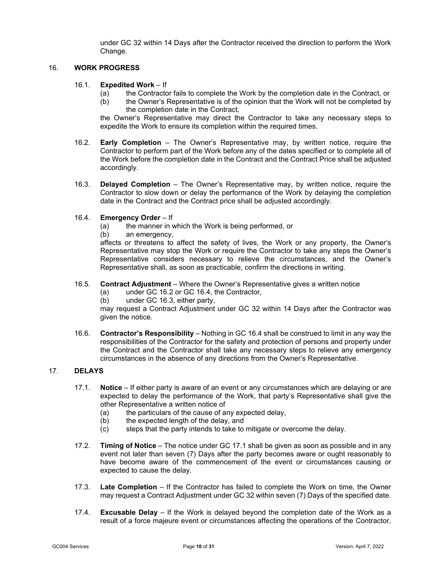under GC [32](#page-22-1) within 14 Days after the Contractor received the direction to perform the Work Change.

#### <span id="page-11-0"></span>16. **WORK PROGRESS**

#### 16.1. **Expedited Work** – If

- (a) the Contractor fails to complete the Work by the completion date in the Contract, or<br>(b) the Owner's Representative is of the opinion that the Work will not be completed by
- the Owner's Representative is of the opinion that the Work will not be completed by the completion date in the Contract,

the Owner's Representative may direct the Contractor to take any necessary steps to expedite the Work to ensure its completion within the required times.

- <span id="page-11-2"></span>16.2. **Early Completion** – The Owner's Representative may, by written notice, require the Contractor to perform part of the Work before any of the dates specified or to complete all of the Work before the completion date in the Contract and the Contract Price shall be adjusted accordingly.
- <span id="page-11-4"></span>16.3. **Delayed Completion** – The Owner's Representative may, by written notice, require the Contractor to slow down or delay the performance of the Work by delaying the completion date in the Contract and the Contract price shall be adjusted accordingly.

#### <span id="page-11-3"></span>16.4. **Emergency Order** – If

- (a) the manner in which the Work is being performed, or  $(b)$  an emergency,
- an emergency,

affects or threatens to affect the safety of lives, the Work or any property, the Owner's Representative may stop the Work or require the Contractor to take any steps the Owner's Representative considers necessary to relieve the circumstances, and the Owner's Representative shall, as soon as practicable, confirm the directions in writing.

# 16.5. **Contract Adjustment** – Where the Owner's Representative gives a written notice

- under GC [16.2](#page-11-2) or GC [16.4,](#page-11-3) the Contractor,
- (b) under GC [16.3,](#page-11-4) either party,

may request a Contract Adjustment under GC [32](#page-22-1) within 14 Days after the Contractor was given the notice.

16.6. **Contractor's Responsibility** – Nothing in GC [16.4](#page-11-3) shall be construed to limit in any way the responsibilities of the Contractor for the safety and protection of persons and property under the Contract and the Contractor shall take any necessary steps to relieve any emergency circumstances in the absence of any directions from the Owner's Representative.

#### <span id="page-11-5"></span><span id="page-11-1"></span>17. **DELAYS**

- 17.1. **Notice** If either party is aware of an event or any circumstances which are delaying or are expected to delay the performance of the Work, that party's Representative shall give the other Representative a written notice of
	- (a) the particulars of the cause of any expected delay,
	- (b) the expected length of the delay, and
	- (c) steps that the party intends to take to mitigate or overcome the delay.
- <span id="page-11-7"></span>17.2. **Timing of Notice** – The notice under GC [17.1](#page-11-5) shall be given as soon as possible and in any event not later than seven (7) Days after the party becomes aware or ought reasonably to have become aware of the commencement of the event or circumstances causing or expected to cause the delay.
- 17.3. **Late Completion** If the Contractor has failed to complete the Work on time, the Owner may request a Contract Adjustment under G[C 32](#page-22-1) within seven (7) Days of the specified date.
- <span id="page-11-6"></span>17.4. **Excusable Delay** – If the Work is delayed beyond the completion date of the Work as a result of a force majeure event or circumstances affecting the operations of the Contractor,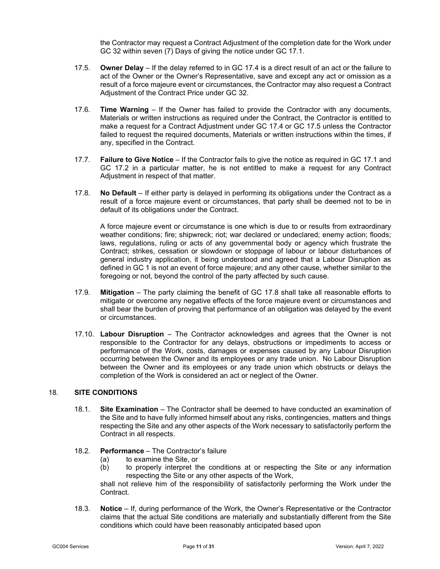the Contractor may request a Contract Adjustment of the completion date for the Work under GC [32](#page-22-1) within seven (7) Days of giving the notice under GC [17.1.](#page-11-5)

- <span id="page-12-1"></span>17.5. **Owner Delay** – If the delay referred to in GC [17.4](#page-11-6) is a direct result of an act or the failure to act of the Owner or the Owner's Representative, save and except any act or omission as a result of a force majeure event or circumstances, the Contractor may also request a Contract Adjustment of the Contract Price under GC [32.](#page-22-1)
- 17.6. **Time Warning** If the Owner has failed to provide the Contractor with any documents, Materials or written instructions as required under the Contract, the Contractor is entitled to make a request for a Contract Adjustment under GC [17.4](#page-11-6) or GC [17.5](#page-12-1) unless the Contractor failed to request the required documents, Materials or written instructions within the times, if any, specified in the Contract.
- 17.7. **Failure to Give Notice** If the Contractor fails to give the notice as required in G[C 17.1](#page-11-5) and GC [17.2](#page-11-7) in a particular matter, he is not entitled to make a request for any Contract Adjustment in respect of that matter.
- <span id="page-12-2"></span>17.8. **No Default** – If either party is delayed in performing its obligations under the Contract as a result of a force majeure event or circumstances, that party shall be deemed not to be in default of its obligations under the Contract.

A force majeure event or circumstance is one which is due to or results from extraordinary weather conditions; fire; shipwreck; riot; war declared or undeclared; enemy action; floods; laws, regulations, ruling or acts of any governmental body or agency which frustrate the Contract; strikes, cessation or slowdown or stoppage of labour or labour disturbances of general industry application, it being understood and agreed that a Labour Disruption as defined in G[C 1](#page-2-1) is not an event of force majeure; and any other cause, whether similar to the foregoing or not, beyond the control of the party affected by such cause.

- 17.9. **Mitigation** The party claiming the benefit of GC [17.8](#page-12-2) shall take all reasonable efforts to mitigate or overcome any negative effects of the force majeure event or circumstances and shall bear the burden of proving that performance of an obligation was delayed by the event or circumstances.
- 17.10. **Labour Disruption** The Contractor acknowledges and agrees that the Owner is not responsible to the Contractor for any delays, obstructions or impediments to access or performance of the Work, costs, damages or expenses caused by any Labour Disruption occurring between the Owner and its employees or any trade union. No Labour Disruption between the Owner and its employees or any trade union which obstructs or delays the completion of the Work is considered an act or neglect of the Owner.

#### <span id="page-12-0"></span>18. **SITE CONDITIONS**

- 18.1. **Site Examination** The Contractor shall be deemed to have conducted an examination of the Site and to have fully informed himself about any risks, contingencies, matters and things respecting the Site and any other aspects of the Work necessary to satisfactorily perform the Contract in all respects.
- 18.2. **Performance** The Contractor's failure
	- (a) to examine the Site, or
	- (b) to properly interpret the conditions at or respecting the Site or any information respecting the Site or any other aspects of the Work,

shall not relieve him of the responsibility of satisfactorily performing the Work under the Contract.

<span id="page-12-3"></span>18.3. **Notice** – If, during performance of the Work, the Owner's Representative or the Contractor claims that the actual Site conditions are materially and substantially different from the Site conditions which could have been reasonably anticipated based upon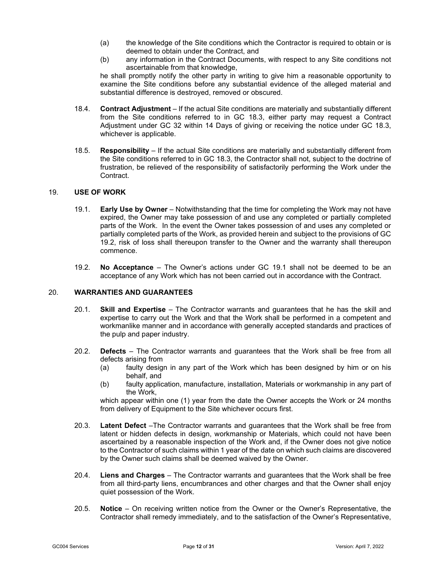- (a) the knowledge of the Site conditions which the Contractor is required to obtain or is deemed to obtain under the Contract, and
- (b) any information in the Contract Documents, with respect to any Site conditions not ascertainable from that knowledge,

he shall promptly notify the other party in writing to give him a reasonable opportunity to examine the Site conditions before any substantial evidence of the alleged material and substantial difference is destroyed, removed or obscured.

- 18.4. **Contract Adjustment** If the actual Site conditions are materially and substantially different from the Site conditions referred to in GC [18.3,](#page-12-3) either party may request a Contract Adjustment under GC [32](#page-22-1) within 14 Days of giving or receiving the notice under GC [18.3,](#page-12-3) whichever is applicable.
- 18.5. **Responsibility** If the actual Site conditions are materially and substantially different from the Site conditions referred to in GC [18.3,](#page-12-3) the Contractor shall not, subject to the doctrine of frustration, be relieved of the responsibility of satisfactorily performing the Work under the Contract.

#### <span id="page-13-3"></span><span id="page-13-0"></span>19. **USE OF WORK**

- 19.1. **Early Use by Owner** Notwithstanding that the time for completing the Work may not have expired, the Owner may take possession of and use any completed or partially completed parts of the Work. In the event the Owner takes possession of and uses any completed or partially completed parts of the Work, as provided herein and subject to the provisions of GC [19.2,](#page-13-2) risk of loss shall thereupon transfer to the Owner and the warranty shall thereupon commence.
- 19.2. **No Acceptance** The Owner's actions under GC [19.1](#page-13-3) shall not be deemed to be an acceptance of any Work which has not been carried out in accordance with the Contract.

#### <span id="page-13-5"></span><span id="page-13-2"></span><span id="page-13-1"></span>20. **WARRANTIES AND GUARANTEES**

- 20.1. **Skill and Expertise** The Contractor warrants and guarantees that he has the skill and expertise to carry out the Work and that the Work shall be performed in a competent and workmanlike manner and in accordance with generally accepted standards and practices of the pulp and paper industry.
- <span id="page-13-4"></span>20.2. **Defects** – The Contractor warrants and guarantees that the Work shall be free from all defects arising from
	- (a) faulty design in any part of the Work which has been designed by him or on his behalf, and
	- (b) faulty application, manufacture, installation, Materials or workmanship in any part of the Work,

which appear within one (1) year from the date the Owner accepts the Work or 24 months from delivery of Equipment to the Site whichever occurs first.

- <span id="page-13-7"></span>20.3. **Latent Defect** –The Contractor warrants and guarantees that the Work shall be free from latent or hidden defects in design, workmanship or Materials, which could not have been ascertained by a reasonable inspection of the Work and, if the Owner does not give notice to the Contractor of such claims within 1 year of the date on which such claims are discovered by the Owner such claims shall be deemed waived by the Owner.
- 20.4. **Liens and Charges** The Contractor warrants and guarantees that the Work shall be free from all third-party liens, encumbrances and other charges and that the Owner shall enjoy quiet possession of the Work.
- <span id="page-13-6"></span>20.5. **Notice** – On receiving written notice from the Owner or the Owner's Representative, the Contractor shall remedy immediately, and to the satisfaction of the Owner's Representative,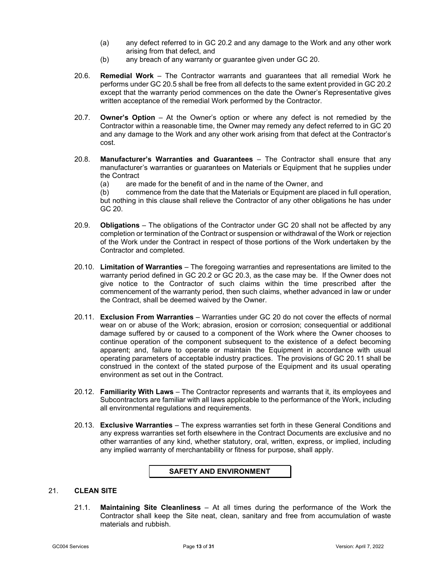- (a) any defect referred to in GC [20.2](#page-13-4) and any damage to the Work and any other work arising from that defect, and
- (b) any breach of any warranty or guarantee given under GC [20.](#page-13-5)
- 20.6. **Remedial Work** The Contractor warrants and guarantees that all remedial Work he performs under G[C 20.5](#page-13-6) shall be free from all defects to the same extent provided in GC [20.2](#page-13-4) except that the warranty period commences on the date the Owner's Representative gives written acceptance of the remedial Work performed by the Contractor.
- 20.7. **Owner's Option** At the Owner's option or where any defect is not remedied by the Contractor within a reasonable time, the Owner may remedy any defect referred to in GC [20](#page-13-5) and any damage to the Work and any other work arising from that defect at the Contractor's cost.
- 20.8. **Manufacturer's Warranties and Guarantees** The Contractor shall ensure that any manufacturer's warranties or guarantees on Materials or Equipment that he supplies under the Contract
	- (a) are made for the benefit of and in the name of the Owner, and<br>(b) commence from the date that the Materials or Equipment are pla

commence from the date that the Materials or Equipment are placed in full operation, but nothing in this clause shall relieve the Contractor of any other obligations he has under GC [20.](#page-13-5)

- 20.9. **Obligations**  The obligations of the Contractor under GC [20](#page-13-5) shall not be affected by any completion or termination of the Contract or suspension or withdrawal of the Work or rejection of the Work under the Contract in respect of those portions of the Work undertaken by the Contractor and completed.
- 20.10. **Limitation of Warranties** The foregoing warranties and representations are limited to the warranty period defined in GC [20.2](#page-13-4) or GC [20.3,](#page-13-7) as the case may be. If the Owner does not give notice to the Contractor of such claims within the time prescribed after the commencement of the warranty period, then such claims, whether advanced in law or under the Contract, shall be deemed waived by the Owner.
- <span id="page-14-1"></span>20.11. **Exclusion From Warranties** – Warranties under GC [20](#page-13-5) do not cover the effects of normal wear on or abuse of the Work; abrasion, erosion or corrosion; consequential or additional damage suffered by or caused to a component of the Work where the Owner chooses to continue operation of the component subsequent to the existence of a defect becoming apparent; and, failure to operate or maintain the Equipment in accordance with usual operating parameters of acceptable industry practices. The provisions of GC [20.11](#page-14-1) shall be construed in the context of the stated purpose of the Equipment and its usual operating environment as set out in the Contract.
- 20.12. **Familiarity With Laws** The Contractor represents and warrants that it, its employees and Subcontractors are familiar with all laws applicable to the performance of the Work, including all environmental regulations and requirements.
- 20.13. **Exclusive Warranties** The express warranties set forth in these General Conditions and any express warranties set forth elsewhere in the Contract Documents are exclusive and no other warranties of any kind, whether statutory, oral, written, express, or implied, including any implied warranty of merchantability or fitness for purpose, shall apply.

# **SAFETY AND ENVIRONMENT**

# <span id="page-14-2"></span><span id="page-14-0"></span>21. **CLEAN SITE**

21.1. **Maintaining Site Cleanliness** – At all times during the performance of the Work the Contractor shall keep the Site neat, clean, sanitary and free from accumulation of waste materials and rubbish.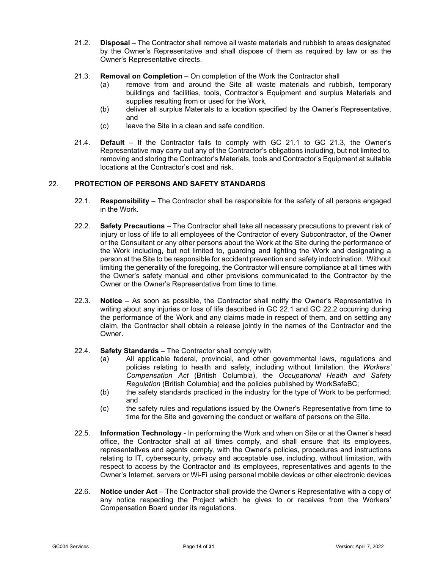- 21.2. **Disposal**  The Contractor shall remove all waste materials and rubbish to areas designated by the Owner's Representative and shall dispose of them as required by law or as the Owner's Representative directs.
- <span id="page-15-1"></span>21.3. **Removal on Completion** – On completion of the Work the Contractor shall
	- (a) remove from and around the Site all waste materials and rubbish, temporary buildings and facilities, tools, Contractor's Equipment and surplus Materials and supplies resulting from or used for the Work,
	- (b) deliver all surplus Materials to a location specified by the Owner's Representative, and
	- (c) leave the Site in a clean and safe condition.
- 21.4. **Default** If the Contractor fails to comply with GC [21.1](#page-14-2) to GC [21.3,](#page-15-1) the Owner's Representative may carry out any of the Contractor's obligations including, but not limited to, removing and storing the Contractor's Materials, tools and Contractor's Equipment at suitable locations at the Contractor's cost and risk.

# <span id="page-15-2"></span><span id="page-15-0"></span>22. **PROTECTION OF PERSONS AND SAFETY STANDARDS**

- 22.1. **Responsibility** The Contractor shall be responsible for the safety of all persons engaged in the Work.
- <span id="page-15-3"></span>22.2. **Safety Precautions** – The Contractor shall take all necessary precautions to prevent risk of injury or loss of life to all employees of the Contractor of every Subcontractor, of the Owner or the Consultant or any other persons about the Work at the Site during the performance of the Work including, but not limited to, guarding and lighting the Work and designating a person at the Site to be responsible for accident prevention and safety indoctrination. Without limiting the generality of the foregoing, the Contractor will ensure compliance at all times with the Owner's safety manual and other provisions communicated to the Contractor by the Owner or the Owner's Representative from time to time.
- 22.3. **Notice** As soon as possible, the Contractor shall notify the Owner's Representative in writing about any injuries or loss of life described in GC [22.1](#page-15-2) and GC [22.2](#page-15-3) occurring during the performance of the Work and any claims made in respect of them, and on settling any claim, the Contractor shall obtain a release jointly in the names of the Contractor and the Owner.
- 22.4. **Safety Standards** The Contractor shall comply with
	- (a) All applicable federal, provincial, and other governmental laws, regulations and policies relating to health and safety, including without limitation, the *Workers' Compensation Act* (British Columbia), the *Occupational Health and Safety Regulation* (British Columbia) and the policies published by WorkSafeBC;
	- (b) the safety standards practiced in the industry for the type of Work to be performed; and
	- (c) the safety rules and regulations issued by the Owner's Representative from time to time for the Site and governing the conduct or welfare of persons on the Site.
- 22.5. **Information Technology** In performing the Work and when on Site or at the Owner's head office, the Contractor shall at all times comply, and shall ensure that its employees, representatives and agents comply, with the Owner's policies, procedures and instructions relating to IT, cybersecurity, privacy and acceptable use, including, without limitation, with respect to access by the Contractor and its employees, representatives and agents to the Owner's Internet, servers or Wi-Fi using personal mobile devices or other electronic devices
- 22.6. **Notice under Act**  The Contractor shall provide the Owner's Representative with a copy of any notice respecting the Project which he gives to or receives from the Workers' Compensation Board under its regulations.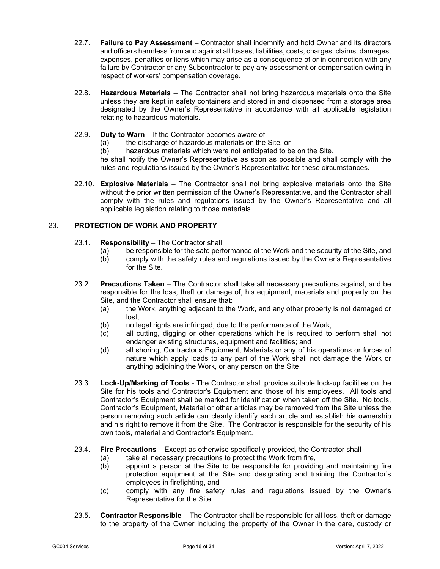- 22.7. **Failure to Pay Assessment** Contractor shall indemnify and hold Owner and its directors and officers harmless from and against all losses, liabilities, costs, charges, claims, damages, expenses, penalties or liens which may arise as a consequence of or in connection with any failure by Contractor or any Subcontractor to pay any assessment or compensation owing in respect of workers' compensation coverage.
- 22.8. **Hazardous Materials** The Contractor shall not bring hazardous materials onto the Site unless they are kept in safety containers and stored in and dispensed from a storage area designated by the Owner's Representative in accordance with all applicable legislation relating to hazardous materials.
- 22.9. **Duty to Warn**  If the Contractor becomes aware of
	- (a) the discharge of hazardous materials on the Site, or
	- (b) hazardous materials which were not anticipated to be on the Site,

he shall notify the Owner's Representative as soon as possible and shall comply with the rules and regulations issued by the Owner's Representative for these circumstances.

22.10. **Explosive Materials** – The Contractor shall not bring explosive materials onto the Site without the prior written permission of the Owner's Representative, and the Contractor shall comply with the rules and regulations issued by the Owner's Representative and all applicable legislation relating to those materials.

### <span id="page-16-0"></span>23. **PROTECTION OF WORK AND PROPERTY**

- 23.1. **Responsibility**  The Contractor shall
	- (a) be responsible for the safe performance of the Work and the security of the Site, and<br>(b) comply with the safety rules and regulations issued by the Owner's Representative
	- comply with the safety rules and regulations issued by the Owner's Representative for the Site.
- <span id="page-16-1"></span>23.2. **Precautions Taken** – The Contractor shall take all necessary precautions against, and be responsible for the loss, theft or damage of, his equipment, materials and property on the Site, and the Contractor shall ensure that:
	- (a) the Work, anything adjacent to the Work, and any other property is not damaged or lost,
	- (b) no legal rights are infringed, due to the performance of the Work,
	- (c) all cutting, digging or other operations which he is required to perform shall not endanger existing structures, equipment and facilities; and
	- (d) all shoring, Contractor's Equipment, Materials or any of his operations or forces of nature which apply loads to any part of the Work shall not damage the Work or anything adjoining the Work, or any person on the Site.
- 23.3. **Lock-Up/Marking of Tools**  The Contractor shall provide suitable lock-up facilities on the Site for his tools and Contractor's Equipment and those of his employees. All tools and Contractor's Equipment shall be marked for identification when taken off the Site. No tools, Contractor's Equipment, Material or other articles may be removed from the Site unless the person removing such article can clearly identify each article and establish his ownership and his right to remove it from the Site. The Contractor is responsible for the security of his own tools, material and Contractor's Equipment.
- 23.4. **Fire Precautions** Except as otherwise specifically provided, the Contractor shall
	- (a) take all necessary precautions to protect the Work from fire,<br>(b) appoint a person at the Site to be responsible for providir
	- appoint a person at the Site to be responsible for providing and maintaining fire protection equipment at the Site and designating and training the Contractor's employees in firefighting, and
	- (c) comply with any fire safety rules and regulations issued by the Owner's Representative for the Site.
- <span id="page-16-2"></span>23.5. **Contractor Responsible** – The Contractor shall be responsible for all loss, theft or damage to the property of the Owner including the property of the Owner in the care, custody or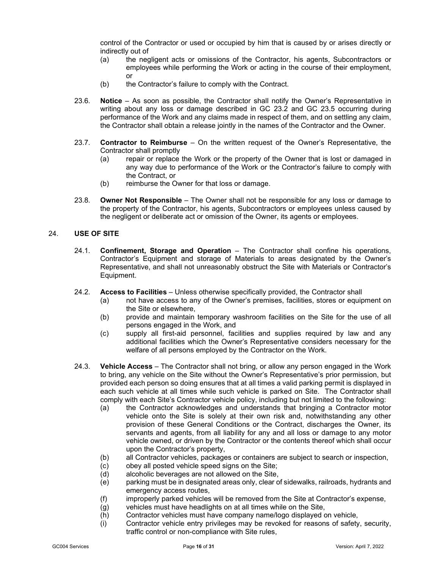control of the Contractor or used or occupied by him that is caused by or arises directly or indirectly out of

- (a) the negligent acts or omissions of the Contractor, his agents, Subcontractors or employees while performing the Work or acting in the course of their employment, or
- (b) the Contractor's failure to comply with the Contract.
- 23.6. **Notice** As soon as possible, the Contractor shall notify the Owner's Representative in writing about any loss or damage described in GC [23.2](#page-16-1) and GC [23.5](#page-16-2) occurring during performance of the Work and any claims made in respect of them, and on settling any claim, the Contractor shall obtain a release jointly in the names of the Contractor and the Owner.
- 23.7. **Contractor to Reimburse** On the written request of the Owner's Representative, the Contractor shall promptly
	- (a) repair or replace the Work or the property of the Owner that is lost or damaged in any way due to performance of the Work or the Contractor's failure to comply with the Contract, or
	- (b) reimburse the Owner for that loss or damage.
- 23.8. **Owner Not Responsible** The Owner shall not be responsible for any loss or damage to the property of the Contractor, his agents, Subcontractors or employees unless caused by the negligent or deliberate act or omission of the Owner, its agents or employees.

#### <span id="page-17-0"></span>24. **USE OF SITE**

- 24.1. **Confinement, Storage and Operation** The Contractor shall confine his operations, Contractor's Equipment and storage of Materials to areas designated by the Owner's Representative, and shall not unreasonably obstruct the Site with Materials or Contractor's Equipment.
- 24.2. **Access to Facilities** Unless otherwise specifically provided, the Contractor shall
	- (a) not have access to any of the Owner's premises, facilities, stores or equipment on the Site or elsewhere,
	- (b) provide and maintain temporary washroom facilities on the Site for the use of all persons engaged in the Work, and
	- (c) supply all first-aid personnel, facilities and supplies required by law and any additional facilities which the Owner's Representative considers necessary for the welfare of all persons employed by the Contractor on the Work.
- 24.3. **Vehicle Access** The Contractor shall not bring, or allow any person engaged in the Work to bring, any vehicle on the Site without the Owner's Representative's prior permission, but provided each person so doing ensures that at all times a valid parking permit is displayed in each such vehicle at all times while such vehicle is parked on Site. The Contractor shall comply with each Site's Contractor vehicle policy, including but not limited to the following:
	- (a) the Contractor acknowledges and understands that bringing a Contractor motor vehicle onto the Site is solely at their own risk and, notwithstanding any other provision of these General Conditions or the Contract, discharges the Owner, its servants and agents, from all liability for any and all loss or damage to any motor vehicle owned, or driven by the Contractor or the contents thereof which shall occur upon the Contractor's property,
	- (b) all Contractor vehicles, packages or containers are subject to search or inspection,
	- (c) obey all posted vehicle speed signs on the Site;<br>(d) alcoholic beverages are not allowed on the Site,
	- (d) alcoholic beverages are not allowed on the Site,<br>(e) parking must be in designated areas only, clear o
	- parking must be in designated areas only, clear of sidewalks, railroads, hydrants and emergency access routes,
	- (f) improperly parked vehicles will be removed from the Site at Contractor's expense,
	- (g) vehicles must have headlights on at all times while on the Site,
	- (h) Contractor vehicles must have company name/logo displayed on vehicle,
	- (i) Contractor vehicle entry privileges may be revoked for reasons of safety, security, traffic control or non-compliance with Site rules,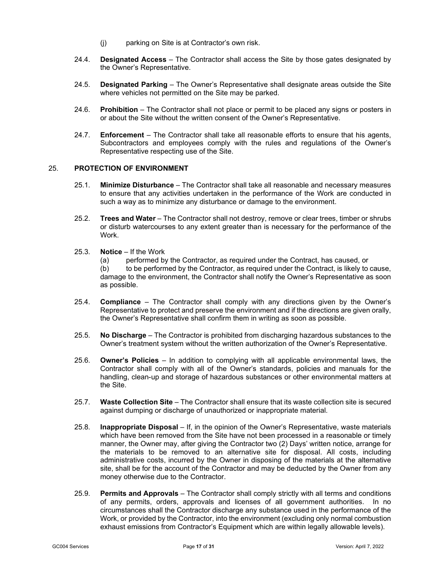- (j) parking on Site is at Contractor's own risk.
- 24.4. **Designated Access** The Contractor shall access the Site by those gates designated by the Owner's Representative.
- 24.5. **Designated Parking** The Owner's Representative shall designate areas outside the Site where vehicles not permitted on the Site may be parked.
- 24.6. **Prohibition**  The Contractor shall not place or permit to be placed any signs or posters in or about the Site without the written consent of the Owner's Representative.
- 24.7. **Enforcement** The Contractor shall take all reasonable efforts to ensure that his agents, Subcontractors and employees comply with the rules and regulations of the Owner's Representative respecting use of the Site.

#### <span id="page-18-0"></span>25. **PROTECTION OF ENVIRONMENT**

- 25.1. **Minimize Disturbance** The Contractor shall take all reasonable and necessary measures to ensure that any activities undertaken in the performance of the Work are conducted in such a way as to minimize any disturbance or damage to the environment.
- 25.2. **Trees and Water** The Contractor shall not destroy, remove or clear trees, timber or shrubs or disturb watercourses to any extent greater than is necessary for the performance of the Work.
- 25.3. **Notice** If the Work
	- (a) performed by the Contractor, as required under the Contract, has caused, or

(b) to be performed by the Contractor, as required under the Contract, is likely to cause, damage to the environment, the Contractor shall notify the Owner's Representative as soon as possible.

- 25.4. **Compliance** The Contractor shall comply with any directions given by the Owner's Representative to protect and preserve the environment and if the directions are given orally, the Owner's Representative shall confirm them in writing as soon as possible.
- 25.5. **No Discharge** The Contractor is prohibited from discharging hazardous substances to the Owner's treatment system without the written authorization of the Owner's Representative.
- 25.6. **Owner's Policies** In addition to complying with all applicable environmental laws, the Contractor shall comply with all of the Owner's standards, policies and manuals for the handling, clean-up and storage of hazardous substances or other environmental matters at the Site.
- 25.7. **Waste Collection Site** The Contractor shall ensure that its waste collection site is secured against dumping or discharge of unauthorized or inappropriate material.
- 25.8. **Inappropriate Disposal** If, in the opinion of the Owner's Representative, waste materials which have been removed from the Site have not been processed in a reasonable or timely manner, the Owner may, after giving the Contractor two (2) Days' written notice, arrange for the materials to be removed to an alternative site for disposal. All costs, including administrative costs, incurred by the Owner in disposing of the materials at the alternative site, shall be for the account of the Contractor and may be deducted by the Owner from any money otherwise due to the Contractor.
- 25.9. **Permits and Approvals** The Contractor shall comply strictly with all terms and conditions of any permits, orders, approvals and licenses of all government authorities. In no circumstances shall the Contractor discharge any substance used in the performance of the Work, or provided by the Contractor, into the environment (excluding only normal combustion exhaust emissions from Contractor's Equipment which are within legally allowable levels).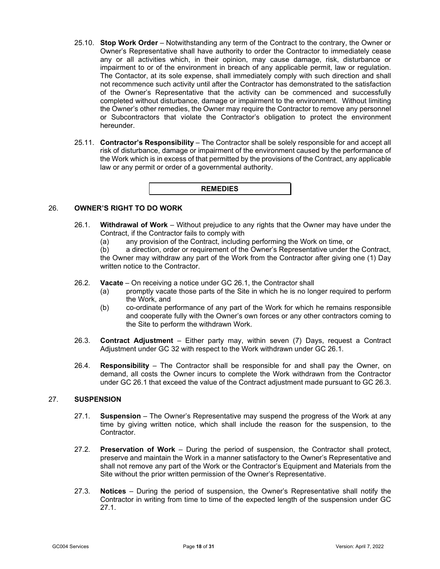- 25.10. **Stop Work Order** Notwithstanding any term of the Contract to the contrary, the Owner or Owner's Representative shall have authority to order the Contractor to immediately cease any or all activities which, in their opinion, may cause damage, risk, disturbance or impairment to or of the environment in breach of any applicable permit, law or regulation. The Contactor, at its sole expense, shall immediately comply with such direction and shall not recommence such activity until after the Contractor has demonstrated to the satisfaction of the Owner's Representative that the activity can be commenced and successfully completed without disturbance, damage or impairment to the environment. Without limiting the Owner's other remedies, the Owner may require the Contractor to remove any personnel or Subcontractors that violate the Contractor's obligation to protect the environment hereunder.
- 25.11. **Contractor's Responsibility** The Contractor shall be solely responsible for and accept all risk of disturbance, damage or impairment of the environment caused by the performance of the Work which is in excess of that permitted by the provisions of the Contract, any applicable law or any permit or order of a governmental authority.



## <span id="page-19-2"></span><span id="page-19-0"></span>26. **OWNER'S RIGHT TO DO WORK**

- 26.1. **Withdrawal of Work** Without prejudice to any rights that the Owner may have under the Contract, if the Contractor fails to comply with
	- (a) any provision of the Contract, including performing the Work on time, or (b) a direction, order or requirement of the Owner's Representative under the

a direction, order or requirement of the Owner's Representative under the Contract, the Owner may withdraw any part of the Work from the Contractor after giving one (1) Day written notice to the Contractor.

- 26.2. **Vacate** On receiving a notice under GC [26.1,](#page-19-2) the Contractor shall
	- promptly vacate those parts of the Site in which he is no longer required to perform the Work, and
	- (b) co-ordinate performance of any part of the Work for which he remains responsible and cooperate fully with the Owner's own forces or any other contractors coming to the Site to perform the withdrawn Work.
- <span id="page-19-3"></span>26.3. **Contract Adjustment** – Either party may, within seven (7) Days, request a Contract Adjustment under GC [32](#page-22-1) with respect to the Work withdrawn under GC [26.1.](#page-19-2)
- 26.4. **Responsibility** The Contractor shall be responsible for and shall pay the Owner, on demand, all costs the Owner incurs to complete the Work withdrawn from the Contractor under GC [26.1](#page-19-2) that exceed the value of the Contract adjustment made pursuant to GC [26.3.](#page-19-3)

#### <span id="page-19-4"></span><span id="page-19-1"></span>27. **SUSPENSION**

- 27.1. **Suspension** The Owner's Representative may suspend the progress of the Work at any time by giving written notice, which shall include the reason for the suspension, to the Contractor.
- 27.2. **Preservation of Work** During the period of suspension, the Contractor shall protect, preserve and maintain the Work in a manner satisfactory to the Owner's Representative and shall not remove any part of the Work or the Contractor's Equipment and Materials from the Site without the prior written permission of the Owner's Representative.
- 27.3. **Notices** During the period of suspension, the Owner's Representative shall notify the Contractor in writing from time to time of the expected length of the suspension under GC [27.1.](#page-19-4)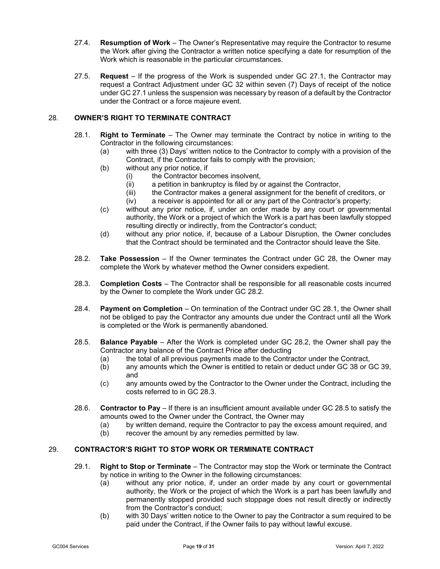- 27.4. **Resumption of Work** The Owner's Representative may require the Contractor to resume the Work after giving the Contractor a written notice specifying a date for resumption of the Work which is reasonable in the particular circumstances.
- 27.5. **Request** If the progress of the Work is suspended under GC [27.1,](#page-19-4) the Contractor may request a Contract Adjustment under GC [32](#page-22-1) within seven (7) Days of receipt of the notice under G[C 27.1](#page-19-4) unless the suspension was necessary by reason of a default by the Contractor under the Contract or a force majeure event.

# <span id="page-20-4"></span><span id="page-20-2"></span><span id="page-20-0"></span>28. **OWNER'S RIGHT TO TERMINATE CONTRACT**

- 28.1. **Right to Terminate** The Owner may terminate the Contract by notice in writing to the Contractor in the following circumstances:
	- (a) with three (3) Days' written notice to the Contractor to comply with a provision of the Contract, if the Contractor fails to comply with the provision;
	- (b) without any prior notice, if
		- (i) the Contractor becomes insolvent,<br>(ii) a petition in bankruptcy is filed by c
		- (ii) a petition in bankruptcy is filed by or against the Contractor,<br>(iii) the Contractor makes a general assignment for the benefit o
		- the Contractor makes a general assignment for the benefit of creditors, or
		- (iv) a receiver is appointed for all or any part of the Contractor's property;
	- (c) without any prior notice, if, under an order made by any court or governmental authority, the Work or a project of which the Work is a part has been lawfully stopped resulting directly or indirectly, from the Contractor's conduct;
	- (d) without any prior notice, if, because of a Labour Disruption, the Owner concludes that the Contract should be terminated and the Contractor should leave the Site.
- <span id="page-20-3"></span>28.2. **Take Possession** – If the Owner terminates the Contract under GC [28,](#page-20-2) the Owner may complete the Work by whatever method the Owner considers expedient.
- <span id="page-20-5"></span>28.3. **Completion Costs** – The Contractor shall be responsible for all reasonable costs incurred by the Owner to complete the Work under GC [28.2.](#page-20-3)
- 28.4. **Payment on Completion** On termination of the Contract under GC [28.1,](#page-20-4) the Owner shall not be obliged to pay the Contractor any amounts due under the Contract until all the Work is completed or the Work is permanently abandoned.
- <span id="page-20-6"></span>28.5. **Balance Payable** – After the Work is completed under GC [28.2,](#page-20-3) the Owner shall pay the Contractor any balance of the Contract Price after deducting
	- (a) the total of all previous payments made to the Contractor under the Contract,<br>(b) any amounts which the Owner is entitled to retain or deduct under GC 38 or (
	- any amounts which the Owner is entitled to retain or deduct under GC [38](#page-25-1) or GC [39,](#page-26-1) and
	- (c) any amounts owed by the Contractor to the Owner under the Contract, including the costs referred to in GC [28.3.](#page-20-5)
- 28.6. **Contractor to Pay** If there is an insufficient amount available under GC [28.5](#page-20-6) to satisfy the amounts owed to the Owner under the Contract, the Owner may
	- (a) by written demand, require the Contractor to pay the excess amount required, and (b) recover the amount by any remedies permitted by law.
	- recover the amount by any remedies permitted by law.

# <span id="page-20-1"></span>29. **CONTRACTOR'S RIGHT TO STOP WORK OR TERMINATE CONTRACT**

- 29.1. **Right to Stop or Terminate** The Contractor may stop the Work or terminate the Contract by notice in writing to the Owner in the following circumstances:
	- (a) without any prior notice, if, under an order made by any court or governmental authority, the Work or the project of which the Work is a part has been lawfully and permanently stopped provided such stoppage does not result directly or indirectly from the Contractor's conduct;
	- (b) with 30 Days' written notice to the Owner to pay the Contractor a sum required to be paid under the Contract, if the Owner fails to pay without lawful excuse.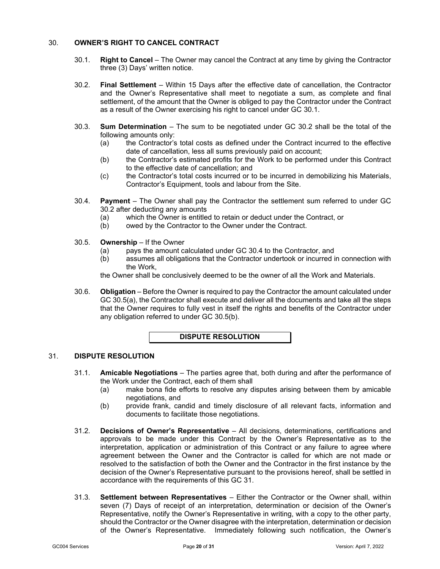# <span id="page-21-3"></span><span id="page-21-0"></span>30. **OWNER'S RIGHT TO CANCEL CONTRACT**

- 30.1. **Right to Cancel** The Owner may cancel the Contract at any time by giving the Contractor three (3) Days' written notice.
- <span id="page-21-4"></span>30.2. **Final Settlement** – Within 15 Days after the effective date of cancellation, the Contractor and the Owner's Representative shall meet to negotiate a sum, as complete and final settlement, of the amount that the Owner is obliged to pay the Contractor under the Contract as a result of the Owner exercising his right to cancel under GC [30.1.](#page-21-3)
- 30.3. **Sum Determination** The sum to be negotiated under GC [30.2](#page-21-4) shall be the total of the following amounts only:<br>(a) the Contractor's
	- (a) the Contractor's total costs as defined under the Contract incurred to the effective date of cancellation, less all sums previously paid on account;
	- (b) the Contractor's estimated profits for the Work to be performed under this Contract to the effective date of cancellation; and
	- (c) the Contractor's total costs incurred or to be incurred in demobilizing his Materials, Contractor's Equipment, tools and labour from the Site.
- <span id="page-21-5"></span>30.4. **Payment** – The Owner shall pay the Contractor the settlement sum referred to under GC [30.2](#page-21-4) after deducting any amounts
	- (a) which the Owner is entitled to retain or deduct under the Contract, or (b) owed by the Contractor to the Owner under the Contract.
	- owed by the Contractor to the Owner under the Contract.
- <span id="page-21-7"></span><span id="page-21-6"></span>30.5. **Ownership** – If the Owner
	-
	- (a) pays the amount calculated under GC [30.4](#page-21-5) to the Contractor, and<br>(b) assumes all obligations that the Contractor undertook or incurred in dessumes all obligations that the Contractor undertook or incurred in connection with the Work,

the Owner shall be conclusively deemed to be the owner of all the Work and Materials.

30.6. **Obligation** – Before the Owner is required to pay the Contractor the amount calculated under GC [30.5\(a\),](#page-21-6) the Contractor shall execute and deliver all the documents and take all the steps that the Owner requires to fully vest in itself the rights and benefits of the Contractor under any obligation referred to under GC [30.5\(b\).](#page-21-7)



#### <span id="page-21-2"></span><span id="page-21-1"></span>31. **DISPUTE RESOLUTION**

- 31.1. **Amicable Negotiations** The parties agree that, both during and after the performance of the Work under the Contract, each of them shall
	- (a) make bona fide efforts to resolve any disputes arising between them by amicable negotiations, and
	- (b) provide frank, candid and timely disclosure of all relevant facts, information and documents to facilitate those negotiations.
- 31.2. **Decisions of Owner's Representative** All decisions, determinations, certifications and approvals to be made under this Contract by the Owner's Representative as to the interpretation, application or administration of this Contract or any failure to agree where agreement between the Owner and the Contractor is called for which are not made or resolved to the satisfaction of both the Owner and the Contractor in the first instance by the decision of the Owner's Representative pursuant to the provisions hereof, shall be settled in accordance with the requirements of this GC [31.](#page-21-2)
- <span id="page-21-8"></span>31.3. **Settlement between Representatives** – Either the Contractor or the Owner shall, within seven (7) Days of receipt of an interpretation, determination or decision of the Owner's Representative, notify the Owner's Representative in writing, with a copy to the other party, should the Contractor or the Owner disagree with the interpretation, determination or decision of the Owner's Representative. Immediately following such notification, the Owner's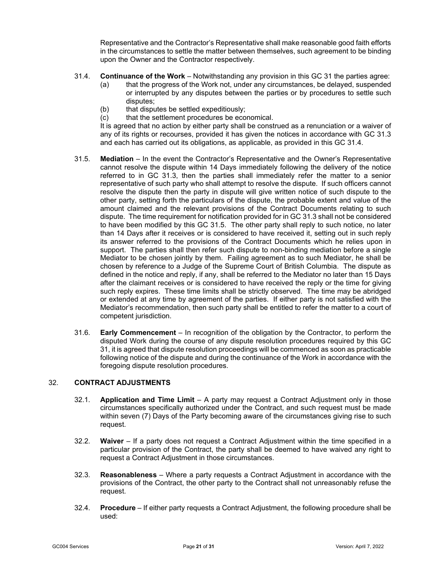Representative and the Contractor's Representative shall make reasonable good faith efforts in the circumstances to settle the matter between themselves, such agreement to be binding upon the Owner and the Contractor respectively.

- <span id="page-22-2"></span>31.4. **Continuance of the Work** – Notwithstanding any provision in this GC [31](#page-21-2) the parties agree:
	- (a) that the progress of the Work not, under any circumstances, be delayed, suspended or interrupted by any disputes between the parties or by procedures to settle such disputes;
	- (b) that disputes be settled expeditiously:
	- (c) that the settlement procedures be economical.

It is agreed that no action by either party shall be construed as a renunciation or a waiver of any of its rights or recourses, provided it has given the notices in accordance with GC [31.3](#page-21-8) and each has carried out its obligations, as applicable, as provided in this GC [31.4.](#page-22-2)

- <span id="page-22-3"></span>31.5. **Mediation** – In the event the Contractor's Representative and the Owner's Representative cannot resolve the dispute within 14 Days immediately following the delivery of the notice referred to in GC [31.3,](#page-21-8) then the parties shall immediately refer the matter to a senior representative of such party who shall attempt to resolve the dispute. If such officers cannot resolve the dispute then the party in dispute will give written notice of such dispute to the other party, setting forth the particulars of the dispute, the probable extent and value of the amount claimed and the relevant provisions of the Contract Documents relating to such dispute. The time requirement for notification provided for in G[C 31.3](#page-21-8) shall not be considered to have been modified by this GC [31.5.](#page-22-3) The other party shall reply to such notice, no later than 14 Days after it receives or is considered to have received it, setting out in such reply its answer referred to the provisions of the Contract Documents which he relies upon in support. The parties shall then refer such dispute to non-binding mediation before a single Mediator to be chosen jointly by them. Failing agreement as to such Mediator, he shall be chosen by reference to a Judge of the Supreme Court of British Columbia. The dispute as defined in the notice and reply, if any, shall be referred to the Mediator no later than 15 Days after the claimant receives or is considered to have received the reply or the time for giving such reply expires. These time limits shall be strictly observed. The time may be abridged or extended at any time by agreement of the parties. If either party is not satisfied with the Mediator's recommendation, then such party shall be entitled to refer the matter to a court of competent jurisdiction.
- 31.6. **Early Commencement** In recognition of the obligation by the Contractor, to perform the disputed Work during the course of any dispute resolution procedures required by this GC [31,](#page-21-2) it is agreed that dispute resolution proceedings will be commenced as soon as practicable following notice of the dispute and during the continuance of the Work in accordance with the foregoing dispute resolution procedures.

# <span id="page-22-1"></span><span id="page-22-0"></span>32. **CONTRACT ADJUSTMENTS**

- 32.1. **Application and Time Limit** A party may request a Contract Adjustment only in those circumstances specifically authorized under the Contract, and such request must be made within seven (7) Days of the Party becoming aware of the circumstances giving rise to such request.
- 32.2. **Waiver** If a party does not request a Contract Adjustment within the time specified in a particular provision of the Contract, the party shall be deemed to have waived any right to request a Contract Adjustment in those circumstances.
- 32.3. **Reasonableness** Where a party requests a Contract Adjustment in accordance with the provisions of the Contract, the other party to the Contract shall not unreasonably refuse the request.
- 32.4. **Procedure** If either party requests a Contract Adjustment, the following procedure shall be used: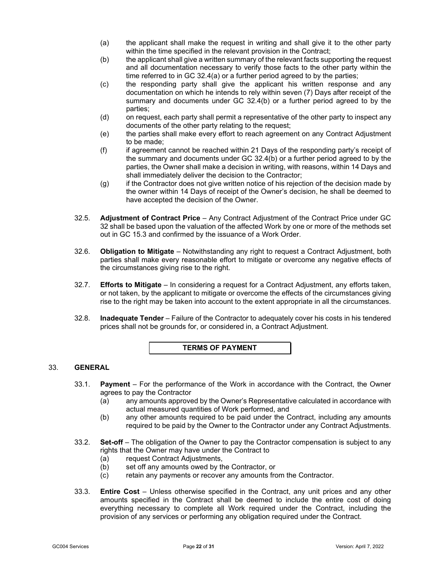- (a) the applicant shall make the request in writing and shall give it to the other party within the time specified in the relevant provision in the Contract:
- (b) the applicant shall give a written summary of the relevant facts supporting the request and all documentation necessary to verify those facts to the other party within the time referred to in GC 32.4(a) or a further period agreed to by the parties;
- (c) the responding party shall give the applicant his written response and any documentation on which he intends to rely within seven (7) Days after receipt of the summary and documents under GC 32.4(b) or a further period agreed to by the parties;
- (d) on request, each party shall permit a representative of the other party to inspect any documents of the other party relating to the request;
- (e) the parties shall make every effort to reach agreement on any Contract Adjustment to be made;
- (f) if agreement cannot be reached within 21 Days of the responding party's receipt of the summary and documents under GC 32.4(b) or a further period agreed to by the parties, the Owner shall make a decision in writing, with reasons, within 14 Days and shall immediately deliver the decision to the Contractor;
- (g) if the Contractor does not give written notice of his rejection of the decision made by the owner within 14 Days of receipt of the Owner's decision, he shall be deemed to have accepted the decision of the Owner.
- 32.5. **Adjustment of Contract Price** Any Contract Adjustment of the Contract Price under GC [32](#page-22-1) shall be based upon the valuation of the affected Work by one or more of the methods set out in GC [15.3](#page-10-6) and confirmed by the issuance of a Work Order.
- 32.6. **Obligation to Mitigate** Notwithstanding any right to request a Contract Adjustment, both parties shall make every reasonable effort to mitigate or overcome any negative effects of the circumstances giving rise to the right.
- 32.7. **Efforts to Mitigate** In considering a request for a Contract Adjustment, any efforts taken, or not taken, by the applicant to mitigate or overcome the effects of the circumstances giving rise to the right may be taken into account to the extent appropriate in all the circumstances.
- 32.8. **Inadequate Tender** Failure of the Contractor to adequately cover his costs in his tendered prices shall not be grounds for, or considered in, a Contract Adjustment.

**TERMS OF PAYMENT**

## <span id="page-23-1"></span><span id="page-23-0"></span>33. **GENERAL**

- 33.1. **Payment** For the performance of the Work in accordance with the Contract, the Owner agrees to pay the Contractor
	- (a) any amounts approved by the Owner's Representative calculated in accordance with actual measured quantities of Work performed, and
	- (b) any other amounts required to be paid under the Contract, including any amounts required to be paid by the Owner to the Contractor under any Contract Adjustments.
- 33.2. **Set-off**  The obligation of the Owner to pay the Contractor compensation is subject to any rights that the Owner may have under the Contract to
	- (a) request Contract Adjustments,
	- (b) set off any amounts owed by the Contractor, or
	- (c) retain any payments or recover any amounts from the Contractor.
- 33.3. **Entire Cost** Unless otherwise specified in the Contract, any unit prices and any other amounts specified in the Contract shall be deemed to include the entire cost of doing everything necessary to complete all Work required under the Contract, including the provision of any services or performing any obligation required under the Contract.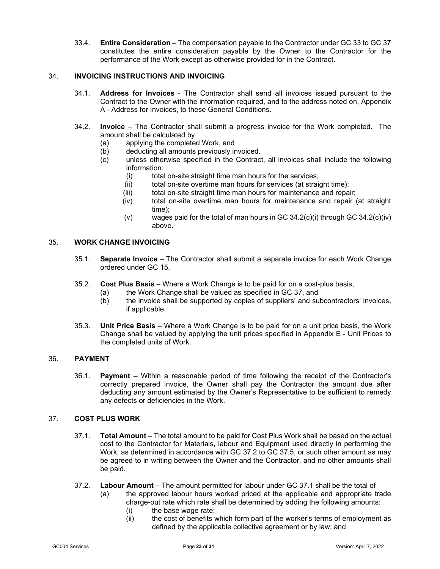33.4. **Entire Consideration** – The compensation payable to the Contractor under GC [33](#page-23-1) to GC [37](#page-24-4) constitutes the entire consideration payable by the Owner to the Contractor for the performance of the Work except as otherwise provided for in the Contract.

# <span id="page-24-0"></span>34. **INVOICING INSTRUCTIONS AND INVOICING**

- 34.1. **Address for Invoices** The Contractor shall send all invoices issued pursuant to the Contract to the Owner with the information required, and to the address noted on, Appendix A - Address for Invoices, to these General Conditions.
- <span id="page-24-6"></span><span id="page-24-5"></span>34.2. **Invoice** – The Contractor shall submit a progress invoice for the Work completed. The amount shall be calculated by<br>(a) applying the complete
	- (a) applying the completed Work, and<br>(b) deducting all amounts previously in
	- deducting all amounts previously invoiced.
	- (c) unless otherwise specified in the Contract, all invoices shall include the following information:
		- (i) total on-site straight time man hours for the services;<br>(ii) total on-site overtime man hours for services (at straic
		- total on-site overtime man hours for services (at straight time);
		- (iii) total on-site straight time man hours for maintenance and repair;
		- (iv) total on-site overtime man hours for maintenance and repair (at straight time);
		- (v) wages paid for the total of man hours in GC  $34.2(c)(i)$  $34.2(c)(i)$  through GC  $34.2(c)(iv)$  $34.2(c)(iv)$ above.

# <span id="page-24-7"></span><span id="page-24-1"></span>35. **WORK CHANGE INVOICING**

- 35.1. **Separate Invoice** The Contractor shall submit a separate invoice for each Work Change ordered under GC [15.](#page-10-7)
- 35.2. **Cost Plus Basis** Where a Work Change is to be paid for on a cost-plus basis,
	- the Work Change shall be valued as specified in GC [37,](#page-24-4) and
	- (b) the invoice shall be supported by copies of suppliers' and subcontractors' invoices, if applicable.
- 35.3. **Unit Price Basis** Where a Work Change is to be paid for on a unit price basis, the Work Change shall be valued by applying the unit prices specified in Appendix E - Unit Prices to the completed units of Work.

## <span id="page-24-2"></span>36. **PAYMENT**

36.1. **Payment** – Within a reasonable period of time following the receipt of the Contractor's correctly prepared invoice, the Owner shall pay the Contractor the amount due after deducting any amount estimated by the Owner's Representative to be sufficient to remedy any defects or deficiencies in the Work.

# <span id="page-24-9"></span><span id="page-24-4"></span><span id="page-24-3"></span>37. **COST PLUS WORK**

- 37.1. **Total Amount**  The total amount to be paid for Cost Plus Work shall be based on the actual cost to the Contractor for Materials, labour and Equipment used directly in performing the Work, as determined in accordance with GC [37.2](#page-24-8) to GC [37.5,](#page-25-2) or such other amount as may be agreed to in writing between the Owner and the Contractor, and no other amounts shall be paid.
- <span id="page-24-8"></span>37.2. **Labour Amount** – The amount permitted for labour under GC [37.1](#page-24-9) shall be the total of

(a) the approved labour hours worked priced at the applicable and appropriate trade charge-out rate which rate shall be determined by adding the following amounts:

- 
- (i) the base wage rate;<br>(ii) the cost of benefits v the cost of benefits which form part of the worker's terms of employment as defined by the applicable collective agreement or by law; and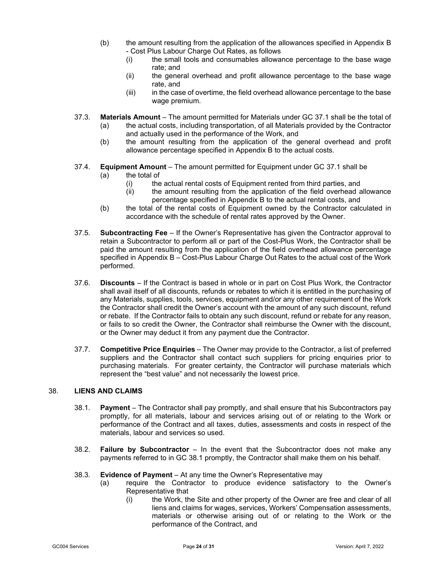- (b) the amount resulting from the application of the allowances specified in Appendix B - Cost Plus Labour Charge Out Rates, as follows
	- (i) the small tools and consumables allowance percentage to the base wage rate; and
	- (ii) the general overhead and profit allowance percentage to the base wage rate, and
	- (iii) in the case of overtime, the field overhead allowance percentage to the base wage premium.
- 37.3. **Materials Amount**  The amount permitted for Materials under GC [37.1](#page-24-9) shall be the total of
	- (a) the actual costs, including transportation, of all Materials provided by the Contractor and actually used in the performance of the Work, and
	- (b) the amount resulting from the application of the general overhead and profit allowance percentage specified in Appendix B to the actual costs.
- 37.4. **Equipment Amount**  The amount permitted for Equipment under GC [37.1](#page-24-9) shall be
	- (a) the total of
		- (i) the actual rental costs of Equipment rented from third parties, and<br>(ii) the amount resulting from the application of the field overhead a
		- the amount resulting from the application of the field overhead allowance percentage specified in Appendix B to the actual rental costs, and
	- (b) the total of the rental costs of Equipment owned by the Contractor calculated in accordance with the schedule of rental rates approved by the Owner.
- <span id="page-25-2"></span>37.5. **Subcontracting Fee** – If the Owner's Representative has given the Contractor approval to retain a Subcontractor to perform all or part of the Cost-Plus Work, the Contractor shall be paid the amount resulting from the application of the field overhead allowance percentage specified in Appendix B – Cost-Plus Labour Charge Out Rates to the actual cost of the Work performed.
- 37.6. **Discounts** If the Contract is based in whole or in part on Cost Plus Work, the Contractor shall avail itself of all discounts, refunds or rebates to which it is entitled in the purchasing of any Materials, supplies, tools, services, equipment and/or any other requirement of the Work the Contractor shall credit the Owner's account with the amount of any such discount, refund or rebate. If the Contractor fails to obtain any such discount, refund or rebate for any reason, or fails to so credit the Owner, the Contractor shall reimburse the Owner with the discount, or the Owner may deduct it from any payment due the Contractor.
- 37.7. **Competitive Price Enquiries** The Owner may provide to the Contractor, a list of preferred suppliers and the Contractor shall contact such suppliers for pricing enquiries prior to purchasing materials. For greater certainty, the Contractor will purchase materials which represent the "best value" and not necessarily the lowest price.

# <span id="page-25-3"></span><span id="page-25-1"></span><span id="page-25-0"></span>38. **LIENS AND CLAIMS**

- 38.1. **Payment**  The Contractor shall pay promptly, and shall ensure that his Subcontractors pay promptly, for all materials, labour and services arising out of or relating to the Work or performance of the Contract and all taxes, duties, assessments and costs in respect of the materials, labour and services so used.
- 38.2. **Failure by Subcontractor** In the event that the Subcontractor does not make any payments referred to in GC [38.1](#page-25-3) promptly, the Contractor shall make them on his behalf.
- 38.3. **Evidence of Payment**  At any time the Owner's Representative may
	- (a) require the Contractor to produce evidence satisfactory to the Owner's Representative that
		- (i) the Work, the Site and other property of the Owner are free and clear of all liens and claims for wages, services, Workers' Compensation assessments, materials or otherwise arising out of or relating to the Work or the performance of the Contract, and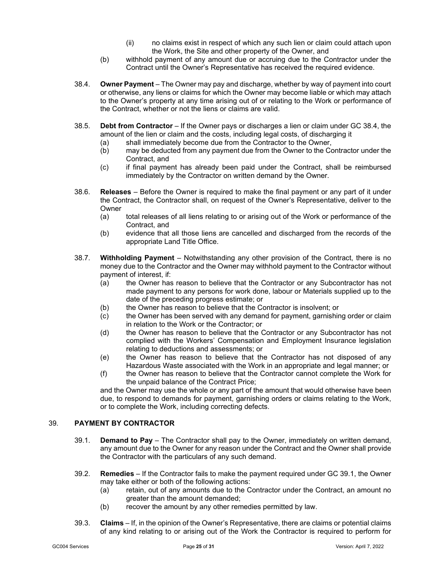- (ii) no claims exist in respect of which any such lien or claim could attach upon the Work, the Site and other property of the Owner, and
- (b) withhold payment of any amount due or accruing due to the Contractor under the Contract until the Owner's Representative has received the required evidence.
- <span id="page-26-2"></span>38.4. **Owner Payment** – The Owner may pay and discharge, whether by way of payment into court or otherwise, any liens or claims for which the Owner may become liable or which may attach to the Owner's property at any time arising out of or relating to the Work or performance of the Contract, whether or not the liens or claims are valid.
- 38.5. **Debt from Contractor** If the Owner pays or discharges a lien or claim under GC [38.4,](#page-26-2) the amount of the lien or claim and the costs, including legal costs, of discharging it
	- (a) shall immediately become due from the Contractor to the Owner,<br>(b) may be deducted from any payment due from the Owner to the Co
	- may be deducted from any payment due from the Owner to the Contractor under the Contract, and
	- (c) if final payment has already been paid under the Contract, shall be reimbursed immediately by the Contractor on written demand by the Owner.
- 38.6. **Releases** Before the Owner is required to make the final payment or any part of it under the Contract, the Contractor shall, on request of the Owner's Representative, deliver to the Owner
	- (a) total releases of all liens relating to or arising out of the Work or performance of the Contract, and
	- (b) evidence that all those liens are cancelled and discharged from the records of the appropriate Land Title Office.
- 38.7. **Withholding Payment** Notwithstanding any other provision of the Contract, there is no money due to the Contractor and the Owner may withhold payment to the Contractor without payment of interest, if:
	- (a) the Owner has reason to believe that the Contractor or any Subcontractor has not made payment to any persons for work done, labour or Materials supplied up to the date of the preceding progress estimate; or
	- (b) the Owner has reason to believe that the Contractor is insolvent; or
	- (c) the Owner has been served with any demand for payment, garnishing order or claim in relation to the Work or the Contractor; or
	- (d) the Owner has reason to believe that the Contractor or any Subcontractor has not complied with the Workers' Compensation and Employment Insurance legislation relating to deductions and assessments; or
	- (e) the Owner has reason to believe that the Contractor has not disposed of any Hazardous Waste associated with the Work in an appropriate and legal manner; or
	- (f) the Owner has reason to believe that the Contractor cannot complete the Work for the unpaid balance of the Contract Price;

and the Owner may use the whole or any part of the amount that would otherwise have been due, to respond to demands for payment, garnishing orders or claims relating to the Work, or to complete the Work, including correcting defects.

#### <span id="page-26-3"></span><span id="page-26-1"></span><span id="page-26-0"></span>39. **PAYMENT BY CONTRACTOR**

- 39.1. **Demand to Pay** The Contractor shall pay to the Owner, immediately on written demand, any amount due to the Owner for any reason under the Contract and the Owner shall provide the Contractor with the particulars of any such demand.
- 39.2. **Remedies** If the Contractor fails to make the payment required under GC [39.1,](#page-26-3) the Owner may take either or both of the following actions:
	- (a) retain, out of any amounts due to the Contractor under the Contract, an amount no greater than the amount demanded;
	- (b) recover the amount by any other remedies permitted by law.
- <span id="page-26-4"></span>39.3. **Claims** – If, in the opinion of the Owner's Representative, there are claims or potential claims of any kind relating to or arising out of the Work the Contractor is required to perform for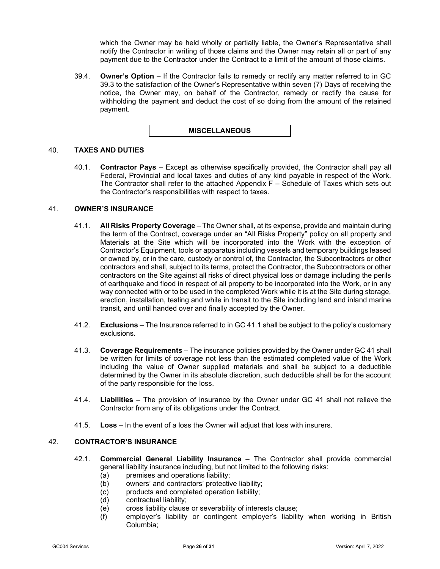which the Owner may be held wholly or partially liable, the Owner's Representative shall notify the Contractor in writing of those claims and the Owner may retain all or part of any payment due to the Contractor under the Contract to a limit of the amount of those claims.

39.4. **Owner's Option** – If the Contractor fails to remedy or rectify any matter referred to in GC [39.3](#page-26-4) to the satisfaction of the Owner's Representative within seven (7) Days of receiving the notice, the Owner may, on behalf of the Contractor, remedy or rectify the cause for withholding the payment and deduct the cost of so doing from the amount of the retained payment.



### <span id="page-27-0"></span>40. **TAXES AND DUTIES**

40.1. **Contractor Pays** – Except as otherwise specifically provided, the Contractor shall pay all Federal, Provincial and local taxes and duties of any kind payable in respect of the Work. The Contractor shall refer to the attached Appendix F – Schedule of Taxes which sets out the Contractor's responsibilities with respect to taxes.

### <span id="page-27-1"></span>41. **OWNER'S INSURANCE**

- 41.1. **All Risks Property Coverage** The Owner shall, at its expense, provide and maintain during the term of the Contract, coverage under an "All Risks Property" policy on all property and Materials at the Site which will be incorporated into the Work with the exception of Contractor's Equipment, tools or apparatus including vessels and temporary buildings leased or owned by, or in the care, custody or control of, the Contractor, the Subcontractors or other contractors and shall, subject to its terms, protect the Contractor, the Subcontractors or other contractors on the Site against all risks of direct physical loss or damage including the perils of earthquake and flood in respect of all property to be incorporated into the Work, or in any way connected with or to be used in the completed Work while it is at the Site during storage, erection, installation, testing and while in transit to the Site including land and inland marine transit, and until handed over and finally accepted by the Owner.
- 41.2. **Exclusions** The Insurance referred to in GC 41.1 shall be subject to the policy's customary exclusions.
- 41.3. **Coverage Requirements** The insurance policies provided by the Owner under GC 41 shall be written for limits of coverage not less than the estimated completed value of the Work including the value of Owner supplied materials and shall be subject to a deductible determined by the Owner in its absolute discretion, such deductible shall be for the account of the party responsible for the loss.
- 41.4. **Liabilities** The provision of insurance by the Owner under GC 41 shall not relieve the Contractor from any of its obligations under the Contract.
- 41.5. **Loss** In the event of a loss the Owner will adjust that loss with insurers.

#### <span id="page-27-2"></span>42. **CONTRACTOR'S INSURANCE**

- 42.1. **Commercial General Liability Insurance** The Contractor shall provide commercial general liability insurance including, but not limited to the following risks:
	- (a) premises and operations liability;
	- (b) owners' and contractors' protective liability;
	- (c) products and completed operation liability;
	- (d) contractual liability;
	- (e) cross liability clause or severability of interests clause;
	- (f) employer's liability or contingent employer's liability when working in British Columbia;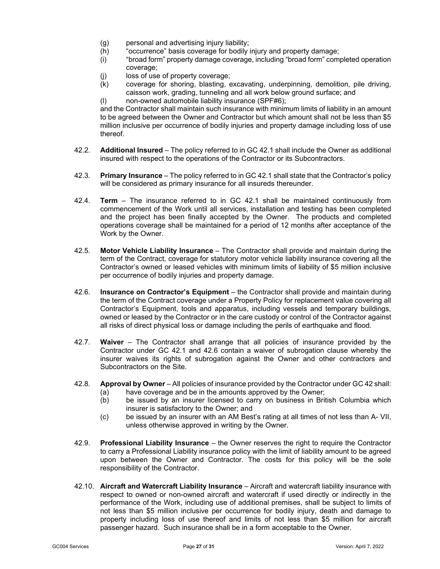- (g) personal and advertising injury liability;<br>(h) "occurrence" basis coverage for bodily
- 
- (h) "occurrence" basis coverage for bodily injury and property damage;<br>(i) "broad form" property damage coverage, including "broad form" com "broad form" property damage coverage, including "broad form" completed operation coverage;
- (j) loss of use of property coverage;
- (k) coverage for shoring, blasting, excavating, underpinning, demolition, pile driving, caisson work, grading, tunneling and all work below ground surface; and
- (l) non-owned automobile liability insurance (SPF#6);

and the Contractor shall maintain such insurance with minimum limits of liability in an amount to be agreed between the Owner and Contractor but which amount shall not be less than \$5 million inclusive per occurrence of bodily injuries and property damage including loss of use thereof.

- 42.2. **Additional Insured**  The policy referred to in GC 42.1 shall include the Owner as additional insured with respect to the operations of the Contractor or its Subcontractors.
- 42.3. **Primary Insurance** The policy referred to in GC 42.1 shall state that the Contractor's policy will be considered as primary insurance for all insureds thereunder.
- 42.4. **Term** The insurance referred to in GC 42.1 shall be maintained continuously from commencement of the Work until all services, installation and testing has been completed and the project has been finally accepted by the Owner. The products and completed operations coverage shall be maintained for a period of 12 months after acceptance of the Work by the Owner.
- 42.5. **Motor Vehicle Liability Insurance**  The Contractor shall provide and maintain during the term of the Contract, coverage for statutory motor vehicle liability insurance covering all the Contractor's owned or leased vehicles with minimum limits of liability of \$5 million inclusive per occurrence of bodily injuries and property damage.
- <span id="page-28-0"></span>42.6. **Insurance on Contractor's Equipment** – the Contractor shall provide and maintain during the term of the Contract coverage under a Property Policy for replacement value covering all Contractor's Equipment, tools and apparatus, including vessels and temporary buildings, owned or leased by the Contractor or in the care custody or control of the Contractor against all risks of direct physical loss or damage including the perils of earthquake and flood.
- 42.7. **Waiver**  The Contractor shall arrange that all policies of insurance provided by the Contractor under GC 42.1 and [42.6](#page-28-0) contain a waiver of subrogation clause whereby the insurer waives its rights of subrogation against the Owner and other contractors and Subcontractors on the Site.
- 42.8. **Approval by Owner** All policies of insurance provided by the Contractor under GC 42 shall:
	- (a) have coverage and be in the amounts approved by the Owner;
	- (b) be issued by an insurer licensed to carry on business in British Columbia which insurer is satisfactory to the Owner; and
	- (c) be issued by an insurer with an AM Best's rating at all times of not less than A- VII, unless otherwise approved in writing by the Owner.
- 42.9. **Professional Liability Insurance** the Owner reserves the right to require the Contractor to carry a Professional Liability insurance policy with the limit of liability amount to be agreed upon between the Owner and Contractor. The costs for this policy will be the sole responsibility of the Contractor.
- 42.10. **Aircraft and Watercraft Liability Insurance** Aircraft and watercraft liability insurance with respect to owned or non-owned aircraft and watercraft if used directly or indirectly in the performance of the Work, including use of additional premises, shall be subject to limits of not less than \$5 million inclusive per occurrence for bodily injury, death and damage to property including loss of use thereof and limits of not less than \$5 million for aircraft passenger hazard. Such insurance shall be in a form acceptable to the Owner.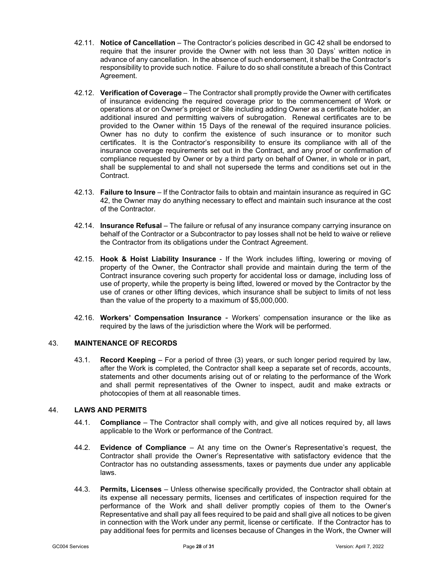- 42.11. **Notice of Cancellation**  The Contractor's policies described in GC 42 shall be endorsed to require that the insurer provide the Owner with not less than 30 Days' written notice in advance of any cancellation. In the absence of such endorsement, it shall be the Contractor's responsibility to provide such notice. Failure to do so shall constitute a breach of this Contract Agreement.
- 42.12. **Verification of Coverage** The Contractor shall promptly provide the Owner with certificates of insurance evidencing the required coverage prior to the commencement of Work or operations at or on Owner's project or Site including adding Owner as a certificate holder, an additional insured and permitting waivers of subrogation. Renewal certificates are to be provided to the Owner within 15 Days of the renewal of the required insurance policies. Owner has no duty to confirm the existence of such insurance or to monitor such certificates. It is the Contractor's responsibility to ensure its compliance with all of the insurance coverage requirements set out in the Contract, and any proof or confirmation of compliance requested by Owner or by a third party on behalf of Owner, in whole or in part, shall be supplemental to and shall not supersede the terms and conditions set out in the Contract.
- 42.13. **Failure to Insure** If the Contractor fails to obtain and maintain insurance as required in GC 42, the Owner may do anything necessary to effect and maintain such insurance at the cost of the Contractor.
- 42.14. **Insurance Refusal** The failure or refusal of any insurance company carrying insurance on behalf of the Contractor or a Subcontractor to pay losses shall not be held to waive or relieve the Contractor from its obligations under the Contract Agreement.
- 42.15. **Hook & Hoist Liability Insurance** If the Work includes lifting, lowering or moving of property of the Owner, the Contractor shall provide and maintain during the term of the Contract insurance covering such property for accidental loss or damage, including loss of use of property, while the property is being lifted, lowered or moved by the Contractor by the use of cranes or other lifting devices, which insurance shall be subject to limits of not less than the value of the property to a maximum of \$5,000,000.
- 42.16. **Workers' Compensation Insurance** Workers' compensation insurance or the like as required by the laws of the jurisdiction where the Work will be performed.

# <span id="page-29-0"></span>43. **MAINTENANCE OF RECORDS**

43.1. **Record Keeping** – For a period of three (3) years, or such longer period required by law, after the Work is completed, the Contractor shall keep a separate set of records, accounts, statements and other documents arising out of or relating to the performance of the Work and shall permit representatives of the Owner to inspect, audit and make extracts or photocopies of them at all reasonable times.

# <span id="page-29-1"></span>44. **LAWS AND PERMITS**

- 44.1. **Compliance** The Contractor shall comply with, and give all notices required by, all laws applicable to the Work or performance of the Contract.
- 44.2. **Evidence of Compliance** At any time on the Owner's Representative's request, the Contractor shall provide the Owner's Representative with satisfactory evidence that the Contractor has no outstanding assessments, taxes or payments due under any applicable laws.
- 44.3. **Permits, Licenses** Unless otherwise specifically provided, the Contractor shall obtain at its expense all necessary permits, licenses and certificates of inspection required for the performance of the Work and shall deliver promptly copies of them to the Owner's Representative and shall pay all fees required to be paid and shall give all notices to be given in connection with the Work under any permit, license or certificate. If the Contractor has to pay additional fees for permits and licenses because of Changes in the Work, the Owner will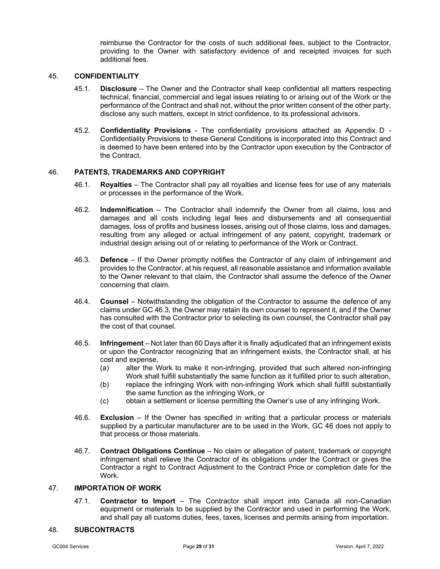reimburse the Contractor for the costs of such additional fees, subject to the Contractor, providing to the Owner with satisfactory evidence of and receipted invoices for such additional fees.

#### <span id="page-30-0"></span>45. **CONFIDENTIALITY**

- 45.1. **Disclosure** The Owner and the Contractor shall keep confidential all matters respecting technical, financial, commercial and legal issues relating to or arising out of the Work or the performance of the Contract and shall not, without the prior written consent of the other party, disclose any such matters, except in strict confidence, to its professional advisors.
- 45.2. **Confidentiality Provisions** The confidentiality provisions attached as Appendix D Confidentiality Provisions to these General Conditions is incorporated into this Contract and is deemed to have been entered into by the Contractor upon execution by the Contractor of the Contract.

#### <span id="page-30-5"></span><span id="page-30-1"></span>46. **PATENTS, TRADEMARKS AND COPYRIGHT**

- 46.1. **Royalties** The Contractor shall pay all royalties and license fees for use of any materials or processes in the performance of the Work.
- 46.2. **lndemnification** The Contractor shall indemnify the Owner from all claims, loss and damages and all costs including legal fees and disbursements and all consequential damages, loss of profits and business losses, arising out of those claims, loss and damages, resulting from any alleged or actual infringement of any patent, copyright, trademark or industrial design arising out of or relating to performance of the Work or Contract.
- <span id="page-30-4"></span>46.3. **Defence** – If the Owner promptly notifies the Contractor of any claim of infringement and provides to the Contractor, at his request, all reasonable assistance and information available to the Owner relevant to that claim, the Contractor shall assume the defence of the Owner concerning that claim.
- 46.4. **Counsel** Notwithstanding the obligation of the Contractor to assume the defence of any claims under G[C 46.3,](#page-30-4) the Owner may retain its own counsel to represent it, and if the Owner has consulted with the Contractor prior to selecting its own counsel, the Contractor shall pay the cost of that counsel.
- 46.5. **lnfringement** Not later than 60 Days after it is finally adjudicated that an infringement exists or upon the Contractor recognizing that an infringement exists, the Contractor shall, at his cost and expense,
	- (a) alter the Work to make it non-infringing, provided that such altered non-infringing Work shall fulfill substantially the same function as it fulfilled prior to such alteration,
	- (b) replace the infringing Work with non-infringing Work which shall fulfill substantially the same function as the infringing Work, or
	- (c) obtain a settlement or license permitting the Owner's use of any infringing Work.
- 46.6. **Exclusion** If the Owner has specified in writing that a particular process or materials supplied by a particular manufacturer are to be used in the Work, GC [46](#page-30-5) does not apply to that process or those materials.
- 46.7. **Contract Obligations Continue** No claim or allegation of patent, trademark or copyright infringement shall relieve the Contractor of its obligations under the Contract or gives the Contractor a right to Contract Adjustment to the Contract Price or completion date for the Work.

#### <span id="page-30-2"></span>47. **IMPORTATION OF WORK**

47.1. **Contractor to Import** – The Contractor shall import into Canada all non-Canadian equipment or materials to be supplied by the Contractor and used in performing the Work, and shall pay all customs duties, fees, taxes, licenses and permits arising from importation.

#### <span id="page-30-3"></span>48. **SUBCONTRACTS**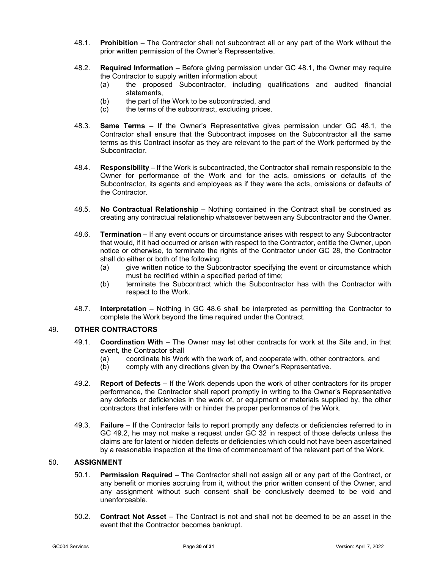- <span id="page-31-2"></span>48.1. **Prohibition** – The Contractor shall not subcontract all or any part of the Work without the prior written permission of the Owner's Representative.
- 48.2. **Required Information** Before giving permission under GC [48.1,](#page-31-2) the Owner may require the Contractor to supply written information about
	- (a) the proposed Subcontractor, including qualifications and audited financial statements,
	- (b) the part of the Work to be subcontracted, and
	- (c) the terms of the subcontract, excluding prices.
- 48.3. **Same Terms** If the Owner's Representative gives permission under GC [48.1,](#page-31-2) the Contractor shall ensure that the Subcontract imposes on the Subcontractor all the same terms as this Contract insofar as they are relevant to the part of the Work performed by the Subcontractor.
- 48.4. **Responsibility** If the Work is subcontracted, the Contractor shall remain responsible to the Owner for performance of the Work and for the acts, omissions or defaults of the Subcontractor, its agents and employees as if they were the acts, omissions or defaults of the Contractor.
- 48.5. **No Contractual Relationship** Nothing contained in the Contract shall be construed as creating any contractual relationship whatsoever between any Subcontractor and the Owner.
- <span id="page-31-3"></span>48.6. **Termination** – If any event occurs or circumstance arises with respect to any Subcontractor that would, if it had occurred or arisen with respect to the Contractor, entitle the Owner, upon notice or otherwise, to terminate the rights of the Contractor under GC [28,](#page-20-2) the Contractor shall do either or both of the following:
	- (a) give written notice to the Subcontractor specifying the event or circumstance which must be rectified within a specified period of time;
	- (b) terminate the Subcontract which the Subcontractor has with the Contractor with respect to the Work.
- 48.7. **Interpretation** Nothing in GC [48.6](#page-31-3) shall be interpreted as permitting the Contractor to complete the Work beyond the time required under the Contract.

#### <span id="page-31-0"></span>49. **OTHER CONTRACTORS**

- 49.1. **Coordination With** The Owner may let other contracts for work at the Site and, in that event, the Contractor shall
	- (a) coordinate his Work with the work of, and cooperate with, other contractors, and (b) comply with any directions given by the Owner's Representative.
	- comply with any directions given by the Owner's Representative.
- <span id="page-31-4"></span>49.2. **Report of Defects** – If the Work depends upon the work of other contractors for its proper performance, the Contractor shall report promptly in writing to the Owner's Representative any defects or deficiencies in the work of, or equipment or materials supplied by, the other contractors that interfere with or hinder the proper performance of the Work.
- 49.3. **Failure** If the Contractor fails to report promptly any defects or deficiencies referred to in GC [49.2,](#page-31-4) he may not make a request under GC [32](#page-22-1) in respect of those defects unless the claims are for latent or hidden defects or deficiencies which could not have been ascertained by a reasonable inspection at the time of commencement of the relevant part of the Work.

#### <span id="page-31-1"></span>50. **ASSIGNMENT**

- 50.1. **Permission Required** The Contractor shall not assign all or any part of the Contract, or any benefit or monies accruing from it, without the prior written consent of the Owner, and any assignment without such consent shall be conclusively deemed to be void and unenforceable.
- 50.2. **Contract Not Asset** The Contract is not and shall not be deemed to be an asset in the event that the Contractor becomes bankrupt.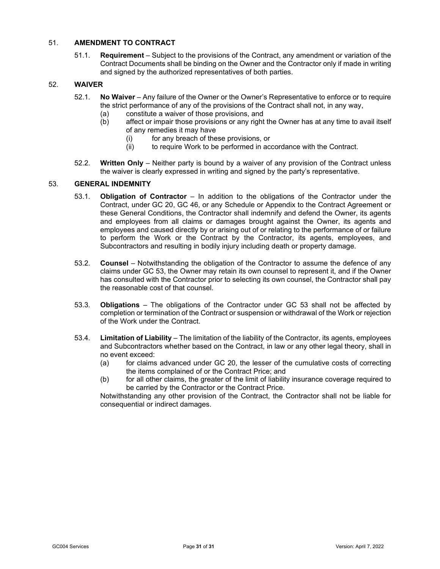# <span id="page-32-3"></span><span id="page-32-0"></span>51. **AMENDMENT TO CONTRACT**

51.1. **Requirement** – Subject to the provisions of the Contract, any amendment or variation of the Contract Documents shall be binding on the Owner and the Contractor only if made in writing and signed by the authorized representatives of both parties.

# <span id="page-32-1"></span>52. **WAIVER**

- 52.1. **No Waiver** Any failure of the Owner or the Owner's Representative to enforce or to require the strict performance of any of the provisions of the Contract shall not, in any way,
	- (a) constitute a waiver of those provisions, and
	- (b) affect or impair those provisions or any right the Owner has at any time to avail itself of any remedies it may have
		- (i) for any breach of these provisions, or<br>(ii) to require Work to be performed in act
		- to require Work to be performed in accordance with the Contract.
- 52.2. **Written Only** Neither party is bound by a waiver of any provision of the Contract unless the waiver is clearly expressed in writing and signed by the party's representative.

### <span id="page-32-4"></span><span id="page-32-2"></span>53. **GENERAL INDEMNITY**

- 53.1. **Obligation of Contractor** In addition to the obligations of the Contractor under the Contract, under GC [20,](#page-13-5) GC [46,](#page-30-5) or any Schedule or Appendix to the Contract Agreement or these General Conditions, the Contractor shall indemnify and defend the Owner, its agents and employees from all claims or damages brought against the Owner, its agents and employees and caused directly by or arising out of or relating to the performance of or failure to perform the Work or the Contract by the Contractor, its agents, employees, and Subcontractors and resulting in bodily injury including death or property damage.
- 53.2. **Counsel** Notwithstanding the obligation of the Contractor to assume the defence of any claims under GC [53,](#page-32-4) the Owner may retain its own counsel to represent it, and if the Owner has consulted with the Contractor prior to selecting its own counsel, the Contractor shall pay the reasonable cost of that counsel.
- 53.3. **Obligations** The obligations of the Contractor under GC [53](#page-32-4) shall not be affected by completion or termination of the Contract or suspension or withdrawal of the Work or rejection of the Work under the Contract.
- 53.4. **Limitation of Liability** The limitation of the liability of the Contractor, its agents, employees and Subcontractors whether based on the Contract, in law or any other legal theory, shall in no event exceed:
	- (a) for claims advanced under GC [20,](#page-13-5) the lesser of the cumulative costs of correcting the items complained of or the Contract Price; and
	- (b) for all other claims, the greater of the limit of liability insurance coverage required to be carried by the Contractor or the Contract Price.

Notwithstanding any other provision of the Contract, the Contractor shall not be liable for consequential or indirect damages.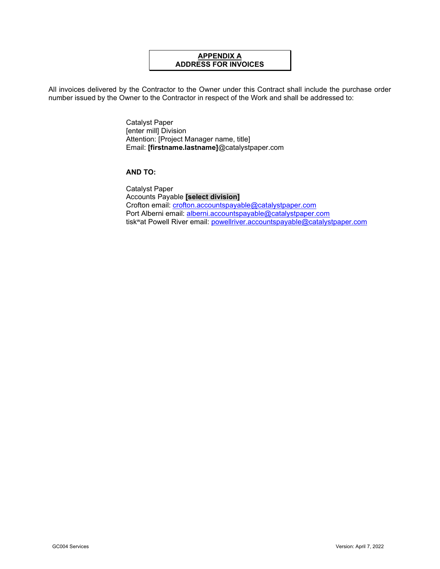# **APPENDIX A ADDRESS FOR INVOICES**

All invoices delivered by the Contractor to the Owner under this Contract shall include the purchase order number issued by the Owner to the Contractor in respect of the Work and shall be addressed to:

> Catalyst Paper [enter mill] Division Attention: [Project Manager name, title] Email: **[firstname.lastname]**@catalystpaper.com

# **AND TO:**

Catalyst Paper Accounts Payable **[select division]** Crofton email: [crofton.accountspayable@catalystpaper.com](mailto:crofton.accountspayable@catalystpaper.com) Port Alberni email: [alberni.accountspayable@catalystpaper.com](mailto:alberni.accountspayable@catalystpaper.com) tiskwat Powell River email: [powellriver.accountspayable@catalystpaper.com](mailto:powellriver.accountspayable@catalystpaper.com)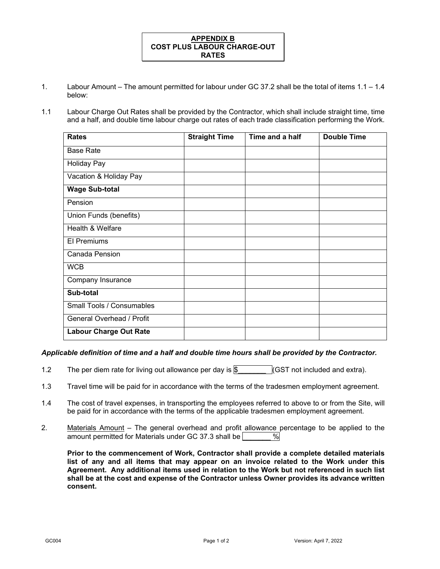# **APPENDIX B COST PLUS LABOUR CHARGE-OUT RATES**

- 1. Labour Amount The amount permitted for labour under GC 37.2 shall be the total of items 1.1 1.4 below:
- 1.1 Labour Charge Out Rates shall be provided by the Contractor, which shall include straight time, time and a half, and double time labour charge out rates of each trade classification performing the Work.

| <b>Rates</b>                  | <b>Straight Time</b> | Time and a half | <b>Double Time</b> |
|-------------------------------|----------------------|-----------------|--------------------|
| <b>Base Rate</b>              |                      |                 |                    |
| <b>Holiday Pay</b>            |                      |                 |                    |
| Vacation & Holiday Pay        |                      |                 |                    |
| <b>Wage Sub-total</b>         |                      |                 |                    |
| Pension                       |                      |                 |                    |
| Union Funds (benefits)        |                      |                 |                    |
| Health & Welfare              |                      |                 |                    |
| <b>El Premiums</b>            |                      |                 |                    |
| Canada Pension                |                      |                 |                    |
| <b>WCB</b>                    |                      |                 |                    |
| Company Insurance             |                      |                 |                    |
| Sub-total                     |                      |                 |                    |
| Small Tools / Consumables     |                      |                 |                    |
| General Overhead / Profit     |                      |                 |                    |
| <b>Labour Charge Out Rate</b> |                      |                 |                    |

#### *Applicable definition of time and a half and double time hours shall be provided by the Contractor.*

- 1.2 The per diem rate for living out allowance per day is  $\$\$  (GST not included and extra).
- 1.3 Travel time will be paid for in accordance with the terms of the tradesmen employment agreement.
- 1.4 The cost of travel expenses, in transporting the employees referred to above to or from the Site, will be paid for in accordance with the terms of the applicable tradesmen employment agreement.
- 2. Materials Amount The general overhead and profit allowance percentage to be applied to the amount permitted for Materials under GC 37.3 shall be  $\sim$  %

**Prior to the commencement of Work, Contractor shall provide a complete detailed materials list of any and all items that may appear on an invoice related to the Work under this Agreement. Any additional items used in relation to the Work but not referenced in such list shall be at the cost and expense of the Contractor unless Owner provides its advance written consent.**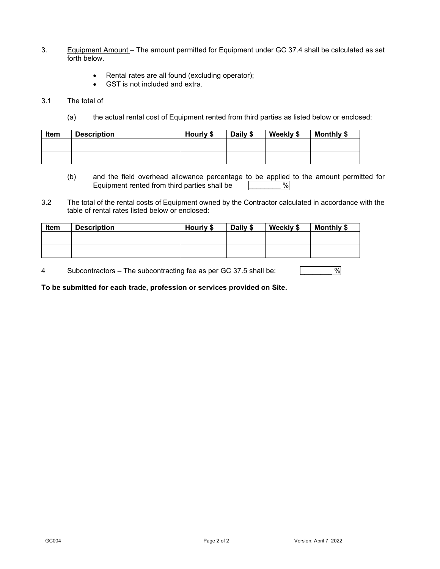- 3. Equipment Amount The amount permitted for Equipment under GC 37.4 shall be calculated as set forth below.
	- Rental rates are all found (excluding operator);
	- GST is not included and extra.

#### 3.1 The total of

(a) the actual rental cost of Equipment rented from third parties as listed below or enclosed:

| Item | <b>Description</b> | Hourly \$ | Daily \$ | Weekly \$ | Monthly \$ |
|------|--------------------|-----------|----------|-----------|------------|
|      |                    |           |          |           |            |
|      |                    |           |          |           |            |

- (b) and the field overhead allowance percentage to be applied to the amount permitted for<br>Equipment rented from third parties shall be  $\sqrt{\frac{6}{10}}$ Equipment rented from third parties shall be \_\_\_\_\_\_\_\_ %
- 3.2 The total of the rental costs of Equipment owned by the Contractor calculated in accordance with the table of rental rates listed below or enclosed:

| Item | <b>Description</b> | Hourly \$ | Daily \$ | Weekly \$ | Monthly \$ |
|------|--------------------|-----------|----------|-----------|------------|
|      |                    |           |          |           |            |
|      |                    |           |          |           |            |

4 Subcontractors – The subcontracting fee as per GC 37.5 shall be:  $\frac{9}{6}$ 

**To be submitted for each trade, profession or services provided on Site.**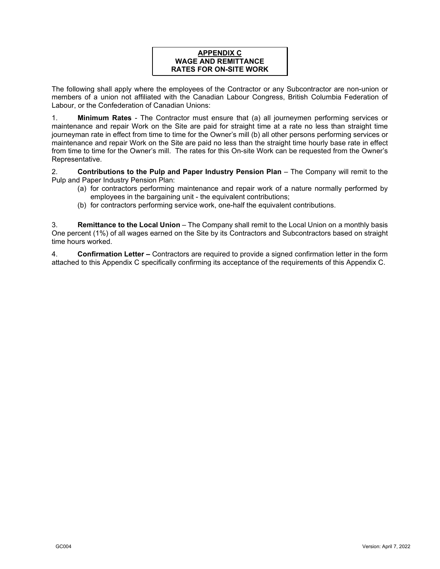# **APPENDIX C WAGE AND REMITTANCE RATES FOR ON-SITE WORK**

The following shall apply where the employees of the Contractor or any Subcontractor are non-union or members of a union not affiliated with the Canadian Labour Congress, British Columbia Federation of Labour, or the Confederation of Canadian Unions:

1. **Minimum Rates** - The Contractor must ensure that (a) all journeymen performing services or maintenance and repair Work on the Site are paid for straight time at a rate no less than straight time journeyman rate in effect from time to time for the Owner's mill (b) all other persons performing services or maintenance and repair Work on the Site are paid no less than the straight time hourly base rate in effect from time to time for the Owner's mill. The rates for this On-site Work can be requested from the Owner's Representative.

2. **Contributions to the Pulp and Paper Industry Pension Plan** – The Company will remit to the Pulp and Paper Industry Pension Plan:

- (a) for contractors performing maintenance and repair work of a nature normally performed by employees in the bargaining unit - the equivalent contributions;
- (b) for contractors performing service work, one-half the equivalent contributions.

3. **Remittance to the Local Union** – The Company shall remit to the Local Union on a monthly basis One percent (1%) of all wages earned on the Site by its Contractors and Subcontractors based on straight time hours worked.

4. **Confirmation Letter –** Contractors are required to provide a signed confirmation letter in the form attached to this Appendix C specifically confirming its acceptance of the requirements of this Appendix C.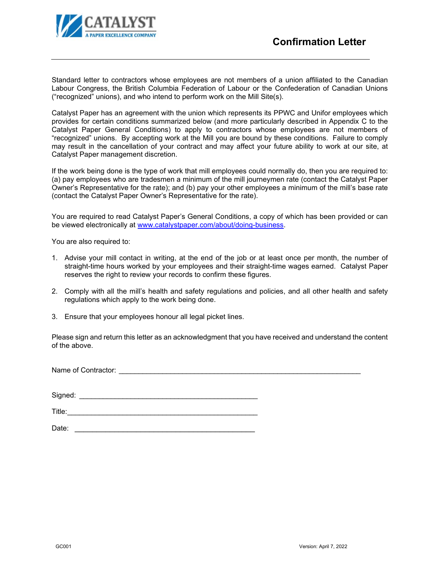

Standard letter to contractors whose employees are not members of a union affiliated to the Canadian Labour Congress, the British Columbia Federation of Labour or the Confederation of Canadian Unions ("recognized" unions), and who intend to perform work on the Mill Site(s).

Catalyst Paper has an agreement with the union which represents its PPWC and Unifor employees which provides for certain conditions summarized below (and more particularly described in Appendix C to the Catalyst Paper General Conditions) to apply to contractors whose employees are not members of "recognized" unions. By accepting work at the Mill you are bound by these conditions. Failure to comply may result in the cancellation of your contract and may affect your future ability to work at our site, at Catalyst Paper management discretion.

If the work being done is the type of work that mill employees could normally do, then you are required to: (a) pay employees who are tradesmen a minimum of the mill journeymen rate (contact the Catalyst Paper Owner's Representative for the rate); and (b) pay your other employees a minimum of the mill's base rate (contact the Catalyst Paper Owner's Representative for the rate).

You are required to read Catalyst Paper's General Conditions, a copy of which has been provided or can be viewed electronically at [www.catalystpaper.com/about/doing-business.](http://www.catalystpaper.com/about/doing-business)

You are also required to:

- 1. Advise your mill contact in writing, at the end of the job or at least once per month, the number of straight-time hours worked by your employees and their straight-time wages earned. Catalyst Paper reserves the right to review your records to confirm these figures.
- 2. Comply with all the mill's health and safety regulations and policies, and all other health and safety regulations which apply to the work being done.
- 3. Ensure that your employees honour all legal picket lines.

Please sign and return this letter as an acknowledgment that you have received and understand the content of the above.

Name of Contractor:  $\blacksquare$ 

Signed: \_\_\_\_\_\_\_\_\_\_\_\_\_\_\_\_\_\_\_\_\_\_\_\_\_\_\_\_\_\_\_\_\_\_\_\_\_\_\_\_\_\_\_\_\_

Title:\_\_\_\_\_\_\_\_\_\_\_\_\_\_\_\_\_\_\_\_\_\_\_\_\_\_\_\_\_\_\_\_\_\_\_\_\_\_\_\_\_\_\_\_\_\_\_\_

Date:  $\Box$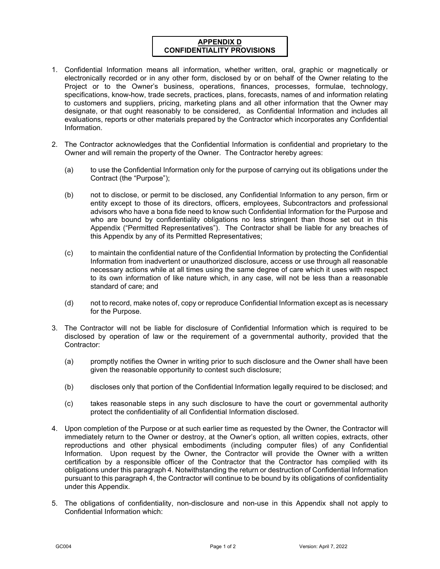# **APPENDIX D CONFIDENTIALITY PROVISIONS**

- 1. Confidential Information means all information, whether written, oral, graphic or magnetically or electronically recorded or in any other form, disclosed by or on behalf of the Owner relating to the Project or to the Owner's business, operations, finances, processes, formulae, technology, specifications, know-how, trade secrets, practices, plans, forecasts, names of and information relating to customers and suppliers, pricing, marketing plans and all other information that the Owner may designate, or that ought reasonably to be considered, as Confidential Information and includes all evaluations, reports or other materials prepared by the Contractor which incorporates any Confidential Information.
- 2. The Contractor acknowledges that the Confidential Information is confidential and proprietary to the Owner and will remain the property of the Owner. The Contractor hereby agrees:
	- (a) to use the Confidential Information only for the purpose of carrying out its obligations under the Contract (the "Purpose");
	- (b) not to disclose, or permit to be disclosed, any Confidential Information to any person, firm or entity except to those of its directors, officers, employees, Subcontractors and professional advisors who have a bona fide need to know such Confidential Information for the Purpose and who are bound by confidentiality obligations no less stringent than those set out in this Appendix ("Permitted Representatives"). The Contractor shall be liable for any breaches of this Appendix by any of its Permitted Representatives;
	- (c) to maintain the confidential nature of the Confidential Information by protecting the Confidential Information from inadvertent or unauthorized disclosure, access or use through all reasonable necessary actions while at all times using the same degree of care which it uses with respect to its own information of like nature which, in any case, will not be less than a reasonable standard of care; and
	- (d) not to record, make notes of, copy or reproduce Confidential Information except as is necessary for the Purpose.
- 3. The Contractor will not be liable for disclosure of Confidential Information which is required to be disclosed by operation of law or the requirement of a governmental authority, provided that the Contractor:
	- (a) promptly notifies the Owner in writing prior to such disclosure and the Owner shall have been given the reasonable opportunity to contest such disclosure;
	- (b) discloses only that portion of the Confidential Information legally required to be disclosed; and
	- (c) takes reasonable steps in any such disclosure to have the court or governmental authority protect the confidentiality of all Confidential Information disclosed.
- 4. Upon completion of the Purpose or at such earlier time as requested by the Owner, the Contractor will immediately return to the Owner or destroy, at the Owner's option, all written copies, extracts, other reproductions and other physical embodiments (including computer files) of any Confidential Information. Upon request by the Owner, the Contractor will provide the Owner with a written certification by a responsible officer of the Contractor that the Contractor has complied with its obligations under this paragraph 4. Notwithstanding the return or destruction of Confidential Information pursuant to this paragraph 4, the Contractor will continue to be bound by its obligations of confidentiality under this Appendix.
- 5. The obligations of confidentiality, non-disclosure and non-use in this Appendix shall not apply to Confidential Information which: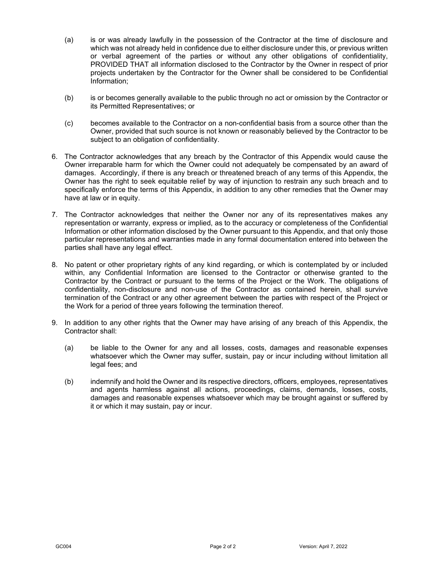- (a) is or was already lawfully in the possession of the Contractor at the time of disclosure and which was not already held in confidence due to either disclosure under this, or previous written or verbal agreement of the parties or without any other obligations of confidentiality, PROVIDED THAT all information disclosed to the Contractor by the Owner in respect of prior projects undertaken by the Contractor for the Owner shall be considered to be Confidential Information;
- (b) is or becomes generally available to the public through no act or omission by the Contractor or its Permitted Representatives; or
- (c) becomes available to the Contractor on a non-confidential basis from a source other than the Owner, provided that such source is not known or reasonably believed by the Contractor to be subject to an obligation of confidentiality.
- 6. The Contractor acknowledges that any breach by the Contractor of this Appendix would cause the Owner irreparable harm for which the Owner could not adequately be compensated by an award of damages. Accordingly, if there is any breach or threatened breach of any terms of this Appendix, the Owner has the right to seek equitable relief by way of injunction to restrain any such breach and to specifically enforce the terms of this Appendix, in addition to any other remedies that the Owner may have at law or in equity.
- 7. The Contractor acknowledges that neither the Owner nor any of its representatives makes any representation or warranty, express or implied, as to the accuracy or completeness of the Confidential Information or other information disclosed by the Owner pursuant to this Appendix, and that only those particular representations and warranties made in any formal documentation entered into between the parties shall have any legal effect.
- 8. No patent or other proprietary rights of any kind regarding, or which is contemplated by or included within, any Confidential Information are licensed to the Contractor or otherwise granted to the Contractor by the Contract or pursuant to the terms of the Project or the Work. The obligations of confidentiality, non-disclosure and non-use of the Contractor as contained herein, shall survive termination of the Contract or any other agreement between the parties with respect of the Project or the Work for a period of three years following the termination thereof.
- 9. In addition to any other rights that the Owner may have arising of any breach of this Appendix, the Contractor shall:
	- (a) be liable to the Owner for any and all losses, costs, damages and reasonable expenses whatsoever which the Owner may suffer, sustain, pay or incur including without limitation all legal fees; and
	- (b) indemnify and hold the Owner and its respective directors, officers, employees, representatives and agents harmless against all actions, proceedings, claims, demands, losses, costs, damages and reasonable expenses whatsoever which may be brought against or suffered by it or which it may sustain, pay or incur.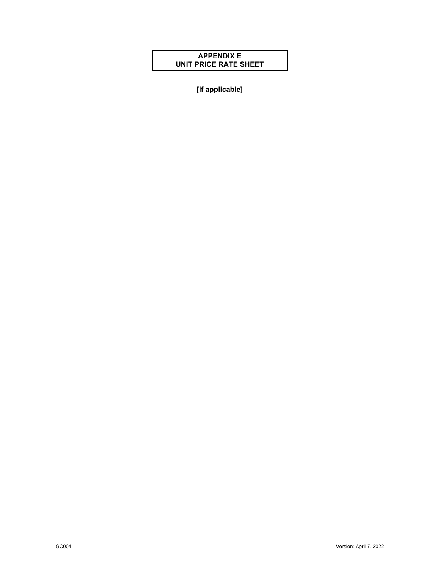# **APPENDIX E UNIT PRICE RATE SHEET**

**[if applicable]**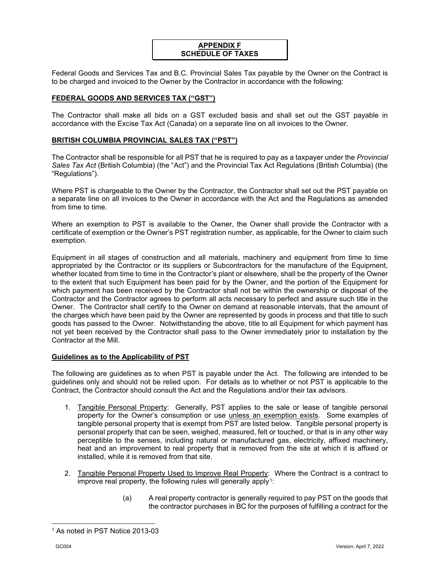# **APPENDIX F SCHEDULE OF TAXES**

Federal Goods and Services Tax and B.C. Provincial Sales Tax payable by the Owner on the Contract is to be charged and invoiced to the Owner by the Contractor in accordance with the following:

# **FEDERAL GOODS AND SERVICES TAX ("GST")**

The Contractor shall make all bids on a GST excluded basis and shall set out the GST payable in accordance with the Excise Tax Act (Canada) on a separate line on all invoices to the Owner.

#### **BRITISH COLUMBIA PROVINCIAL SALES TAX ("PST")**

The Contractor shall be responsible for all PST that he is required to pay as a taxpayer under the *Provincial Sales Tax Act* (British Columbia) (the "Act") and the Provincial Tax Act Regulations (British Columbia) (the "Regulations").

Where PST is chargeable to the Owner by the Contractor, the Contractor shall set out the PST payable on a separate line on all invoices to the Owner in accordance with the Act and the Regulations as amended from time to time.

Where an exemption to PST is available to the Owner, the Owner shall provide the Contractor with a certificate of exemption or the Owner's PST registration number, as applicable, for the Owner to claim such exemption.

Equipment in all stages of construction and all materials, machinery and equipment from time to time appropriated by the Contractor or its suppliers or Subcontractors for the manufacture of the Equipment, whether located from time to time in the Contractor's plant or elsewhere, shall be the property of the Owner to the extent that such Equipment has been paid for by the Owner, and the portion of the Equipment for which payment has been received by the Contractor shall not be within the ownership or disposal of the Contractor and the Contractor agrees to perform all acts necessary to perfect and assure such title in the Owner. The Contractor shall certify to the Owner on demand at reasonable intervals, that the amount of the charges which have been paid by the Owner are represented by goods in process and that title to such goods has passed to the Owner. Notwithstanding the above, title to all Equipment for which payment has not yet been received by the Contractor shall pass to the Owner immediately prior to installation by the Contractor at the Mill.

#### **Guidelines as to the Applicability of PST**

The following are guidelines as to when PST is payable under the Act. The following are intended to be guidelines only and should not be relied upon. For details as to whether or not PST is applicable to the Contract, the Contractor should consult the Act and the Regulations and/or their tax advisors.

- 1. Tangible Personal Property: Generally, PST applies to the sale or lease of tangible personal property for the Owner's consumption or use unless an exemption exists. Some examples of tangible personal property that is exempt from PST are listed below. Tangible personal property is personal property that can be seen, weighed, measured, felt or touched, or that is in any other way perceptible to the senses, including natural or manufactured gas, electricity, affixed machinery, heat and an improvement to real property that is removed from the site at which it is affixed or installed, while it is removed from that site.
- 2. Tangible Personal Property Used to Improve Real Property: Where the Contract is a contract to improve real property, the following rules will generally apply<sup>1</sup>:
	- (a) A real property contractor is generally required to pay PST on the goods that the contractor purchases in BC for the purposes of fulfilling a contract for the

<span id="page-41-0"></span><sup>1</sup> As noted in PST Notice 2013-03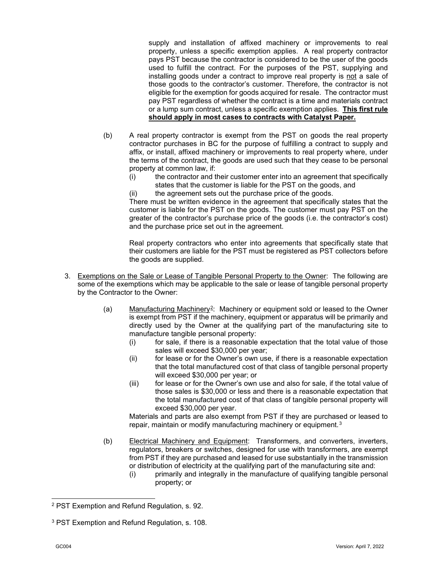supply and installation of affixed machinery or improvements to real property, unless a specific exemption applies. A real property contractor pays PST because the contractor is considered to be the user of the goods used to fulfill the contract. For the purposes of the PST, supplying and installing goods under a contract to improve real property is not a sale of those goods to the contractor's customer. Therefore, the contractor is not eligible for the exemption for goods acquired for resale. The contractor must pay PST regardless of whether the contract is a time and materials contract or a lump sum contract, unless a specific exemption applies. **This first rule should apply in most cases to contracts with Catalyst Paper.**

- (b) A real property contractor is exempt from the PST on goods the real property contractor purchases in BC for the purpose of fulfilling a contract to supply and affix, or install, affixed machinery or improvements to real property where, under the terms of the contract, the goods are used such that they cease to be personal property at common law, if:
	- (i) the contractor and their customer enter into an agreement that specifically states that the customer is liable for the PST on the goods, and
	- (ii) the agreement sets out the purchase price of the goods.

There must be written evidence in the agreement that specifically states that the customer is liable for the PST on the goods. The customer must pay PST on the greater of the contractor's purchase price of the goods (i.e. the contractor's cost) and the purchase price set out in the agreement.

Real property contractors who enter into agreements that specifically state that their customers are liable for the PST must be registered as PST collectors before the goods are supplied.

- 3. Exemptions on the Sale or Lease of Tangible Personal Property to the Owner: The following are some of the exemptions which may be applicable to the sale or lease of tangible personal property by the Contractor to the Owner:
	- (a) Manufacturing Machinery<sup>2</sup>: Machinery or equipment sold or leased to the Owner is exempt from PST if the machinery, equipment or apparatus will be primarily and directly used by the Owner at the qualifying part of the manufacturing site to manufacture tangible personal property:
		- (i) for sale, if there is a reasonable expectation that the total value of those sales will exceed \$30,000 per year;
		- (ii) for lease or for the Owner's own use, if there is a reasonable expectation that the total manufactured cost of that class of tangible personal property will exceed \$30,000 per year; or
		- (iii) for lease or for the Owner's own use and also for sale, if the total value of those sales is \$30,000 or less and there is a reasonable expectation that the total manufactured cost of that class of tangible personal property will exceed \$30,000 per year.

Materials and parts are also exempt from PST if they are purchased or leased to repair, maintain or modify manufacturing machinery or equipment.<sup>[3](#page-42-1)</sup>

- (b) Electrical Machinery and Equipment: Transformers, and converters, inverters, regulators, breakers or switches, designed for use with transformers, are exempt from PST if they are purchased and leased for use substantially in the transmission or distribution of electricity at the qualifying part of the manufacturing site and:
	- (i) primarily and integrally in the manufacture of qualifying tangible personal property; or

<span id="page-42-0"></span><sup>2</sup> PST Exemption and Refund Regulation, s. 92.

<span id="page-42-1"></span><sup>3</sup> PST Exemption and Refund Regulation, s. 108.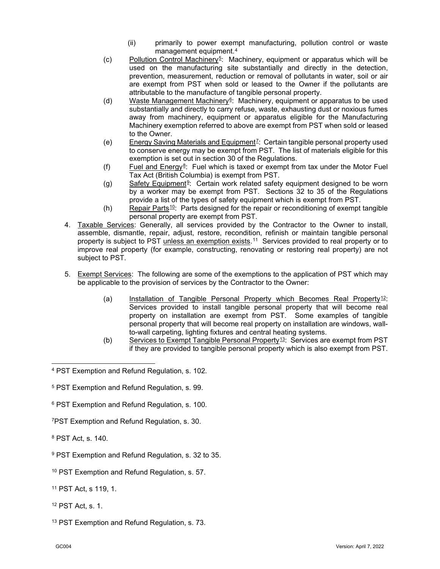- (ii) primarily to power exempt manufacturing, pollution control or waste management equipment.[4](#page-43-0)
- (c) Pollution Control Machinery[5](#page-43-1): Machinery, equipment or apparatus which will be used on the manufacturing site substantially and directly in the detection, prevention, measurement, reduction or removal of pollutants in water, soil or air are exempt from PST when sold or leased to the Owner if the pollutants are attributable to the manufacture of tangible personal property.
- (d) Waste Management Machinery<sup>6</sup>: Machinery, equipment or apparatus to be used substantially and directly to carry refuse, waste, exhausting dust or noxious fumes away from machinery, equipment or apparatus eligible for the Manufacturing Machinery exemption referred to above are exempt from PST when sold or leased to the Owner.
- (e) Energy Saving Materials and Equipment[7](#page-43-3): Certain tangible personal property used to conserve energy may be exempt from PST. The list of materials eligible for this exemption is set out in section 30 of the Regulations.
- (f) Fuel and  $Energy<sup>8</sup>$  $Energy<sup>8</sup>$  $Energy<sup>8</sup>$ : Fuel which is taxed or exempt from tax under the Motor Fuel Tax Act (British Columbia) is exempt from PST.
- (g) Safety Equipment<sup>9</sup>: Certain work related safety equipment designed to be worn by a worker may be exempt from PST. Sections 32 to 35 of the Regulations provide a list of the types of safety equipment which is exempt from PST.
- (h) Repair Parts  $10$ : Parts designed for the repair or reconditioning of exempt tangible personal property are exempt from PST.
- 4. Taxable Services: Generally, all services provided by the Contractor to the Owner to install, assemble, dismantle, repair, adjust, restore, recondition, refinish or maintain tangible personal property is subject to PST unless an exemption exists.[11](#page-43-7) Services provided to real property or to improve real property (for example, constructing, renovating or restoring real property) are not subject to PST.
- 5. Exempt Services: The following are some of the exemptions to the application of PST which may be applicable to the provision of services by the Contractor to the Owner:
	- (a) Installation of Tangible Personal Property which Becomes Real Property<sup>[12](#page-43-8)</sup>: Services provided to install tangible personal property that will become real property on installation are exempt from PST. Some examples of tangible personal property that will become real property on installation are windows, wallto-wall carpeting, lighting fixtures and central heating systems.
	- (b) Services to Exempt Tangible Personal Property<sup>13</sup>: Services are exempt from PST if they are provided to tangible personal property which is also exempt from PST.

- <span id="page-43-2"></span><sup>6</sup> PST Exemption and Refund Regulation, s. 100.
- <span id="page-43-3"></span>7PST Exemption and Refund Regulation, s. 30.

<span id="page-43-4"></span><sup>8</sup> PST Act, s. 140.

- <span id="page-43-5"></span><sup>9</sup> PST Exemption and Refund Regulation, s. 32 to 35.
- <span id="page-43-6"></span><sup>10</sup> PST Exemption and Refund Regulation, s. 57.
- <span id="page-43-7"></span><sup>11</sup> PST Act, s 119, 1.
- <span id="page-43-8"></span><sup>12</sup> PST Act, s. 1.
- <span id="page-43-9"></span><sup>13</sup> PST Exemption and Refund Regulation, s. 73.

<span id="page-43-0"></span><sup>4</sup> PST Exemption and Refund Regulation, s. 102.

<span id="page-43-1"></span><sup>5</sup> PST Exemption and Refund Regulation, s. 99.